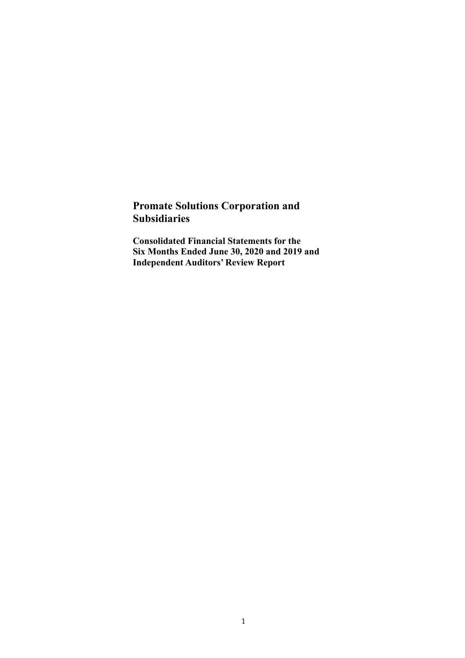### **Promate Solutions Corporation and Subsidiaries**

**Consolidated Financial Statements for the Six Months Ended June 30, 2020 and 2019 and Independent Auditors' Review Report**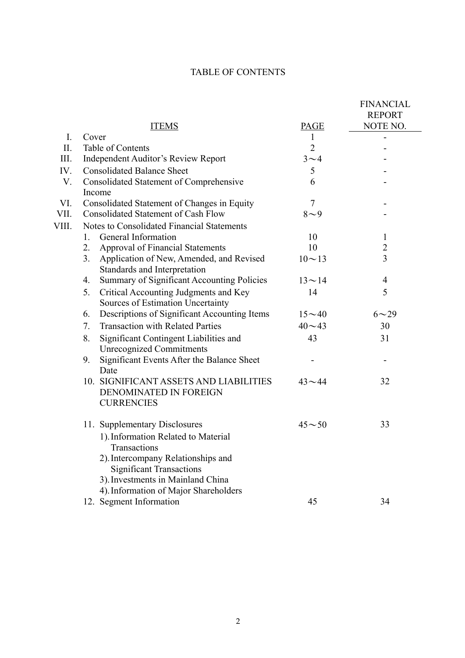### TABLE OF CONTENTS

|                |                                                         |                | <b>FINANCIAL</b><br><b>REPORT</b> |
|----------------|---------------------------------------------------------|----------------|-----------------------------------|
|                | <b>ITEMS</b>                                            | PAGE           | NOTE NO.                          |
| $\mathbf{I}$ . | Cover                                                   | $\mathbf{1}$   |                                   |
| II.            | Table of Contents                                       | $\overline{2}$ |                                   |
| III.           | Independent Auditor's Review Report                     | $3\sim4$       |                                   |
| IV.            | <b>Consolidated Balance Sheet</b>                       | 5              |                                   |
| V.             | Consolidated Statement of Comprehensive                 | 6              |                                   |
|                | Income                                                  |                |                                   |
| VI.            | Consolidated Statement of Changes in Equity             | $\overline{7}$ |                                   |
| VII.           | <b>Consolidated Statement of Cash Flow</b>              | $8 - 9$        |                                   |
| VIII.          | Notes to Consolidated Financial Statements              |                |                                   |
|                | General Information<br>1.                               | 10             | $\mathbf{1}$                      |
|                | 2.<br>Approval of Financial Statements                  | 10             | $\overline{2}$                    |
|                | Application of New, Amended, and Revised<br>3.          | $10 \sim 13$   | $\overline{3}$                    |
|                | Standards and Interpretation                            |                |                                   |
|                | <b>Summary of Significant Accounting Policies</b><br>4. | $13 - 14$      | $\overline{\mathcal{L}}$          |
|                | Critical Accounting Judgments and Key<br>5.             | 14             | 5                                 |
|                | Sources of Estimation Uncertainty                       |                |                                   |
|                | Descriptions of Significant Accounting Items<br>6.      | $15 - 40$      | $6 - 29$                          |
|                | <b>Transaction with Related Parties</b><br>7.           | $40 - 43$      | 30                                |
|                | Significant Contingent Liabilities and<br>8.            | 43             | 31                                |
|                | <b>Unrecognized Commitments</b>                         |                |                                   |
|                | Significant Events After the Balance Sheet<br>9.        |                |                                   |
|                | Date                                                    |                |                                   |
|                | 10. SIGNIFICANT ASSETS AND LIABILITIES                  | $43 - 44$      | 32                                |
|                | DENOMINATED IN FOREIGN                                  |                |                                   |
|                | <b>CURRENCIES</b>                                       |                |                                   |
|                |                                                         |                |                                   |
|                | 11. Supplementary Disclosures                           | $45 - 50$      | 33                                |
|                | 1). Information Related to Material                     |                |                                   |
|                | Transactions                                            |                |                                   |
|                | 2). Intercompany Relationships and                      |                |                                   |
|                | <b>Significant Transactions</b>                         |                |                                   |
|                | 3). Investments in Mainland China                       |                |                                   |
|                | 4). Information of Major Shareholders                   | 45             | 34                                |
|                | 12. Segment Information                                 |                |                                   |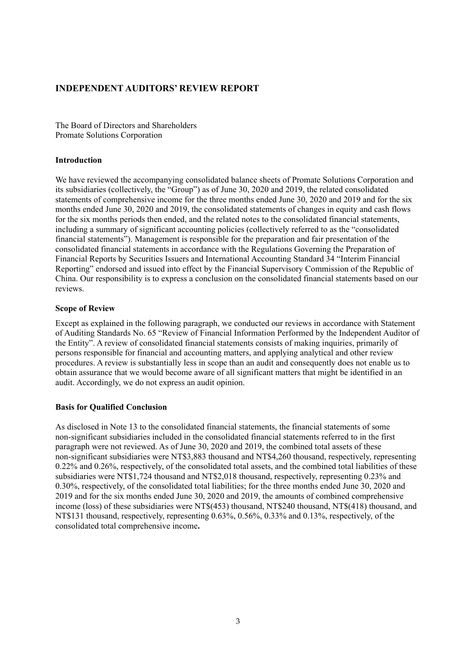### **INDEPENDENT AUDITORS' REVIEW REPORT**

The Board of Directors and Shareholders Promate Solutions Corporation

#### **Introduction**

We have reviewed the accompanying consolidated balance sheets of Promate Solutions Corporation and its subsidiaries (collectively, the "Group") as of June 30, 2020 and 2019, the related consolidated statements of comprehensive income for the three months ended June 30, 2020 and 2019 and for the six months ended June 30, 2020 and 2019, the consolidated statements of changes in equity and cash flows for the six months periods then ended, and the related notes to the consolidated financial statements, including a summary of significant accounting policies (collectively referred to as the "consolidated financial statements"). Management is responsible for the preparation and fair presentation of the consolidated financial statements in accordance with the Regulations Governing the Preparation of Financial Reports by Securities Issuers and International Accounting Standard 34 "Interim Financial Reporting" endorsed and issued into effect by the Financial Supervisory Commission of the Republic of China. Our responsibility is to express a conclusion on the consolidated financial statements based on our reviews.

#### **Scope of Review**

Except as explained in the following paragraph, we conducted our reviews in accordance with Statement of Auditing Standards No. 65 "Review of Financial Information Performed by the Independent Auditor of the Entity". A review of consolidated financial statements consists of making inquiries, primarily of persons responsible for financial and accounting matters, and applying analytical and other review procedures. A review is substantially less in scope than an audit and consequently does not enable us to obtain assurance that we would become aware of all significant matters that might be identified in an audit. Accordingly, we do not express an audit opinion.

#### **Basis for Qualified Conclusion**

As disclosed in Note 13 to the consolidated financial statements, the financial statements of some non-significant subsidiaries included in the consolidated financial statements referred to in the first paragraph were not reviewed. As of June 30, 2020 and 2019, the combined total assets of these non-significant subsidiaries were NT\$3,883 thousand and NT\$4,260 thousand, respectively, representing 0.22% and 0.26%, respectively, of the consolidated total assets, and the combined total liabilities of these subsidiaries were NT\$1,724 thousand and NT\$2,018 thousand, respectively, representing 0.23% and 0.30%, respectively, of the consolidated total liabilities; for the three months ended June 30, 2020 and 2019 and for the six months ended June 30, 2020 and 2019, the amounts of combined comprehensive income (loss) of these subsidiaries were NT\$(453) thousand, NT\$240 thousand, NT\$(418) thousand, and NT\$131 thousand, respectively, representing 0.63%, 0.56%, 0.33% and 0.13%, respectively, of the consolidated total comprehensive income**.**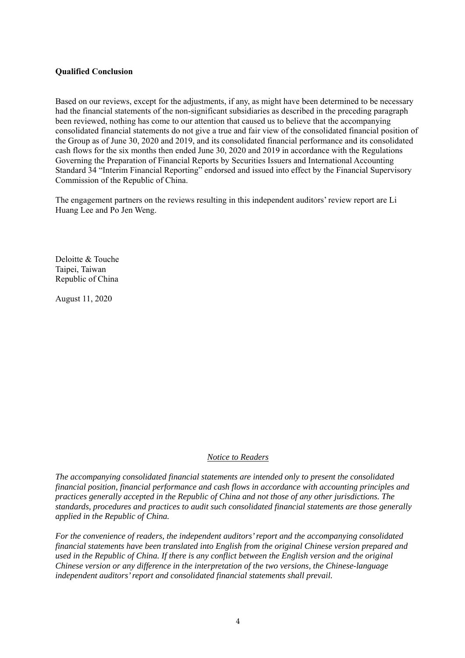#### **Qualified Conclusion**

Based on our reviews, except for the adjustments, if any, as might have been determined to be necessary had the financial statements of the non-significant subsidiaries as described in the preceding paragraph been reviewed, nothing has come to our attention that caused us to believe that the accompanying consolidated financial statements do not give a true and fair view of the consolidated financial position of the Group as of June 30, 2020 and 2019, and its consolidated financial performance and its consolidated cash flows for the six months then ended June 30, 2020 and 2019 in accordance with the Regulations Governing the Preparation of Financial Reports by Securities Issuers and International Accounting Standard 34 "Interim Financial Reporting" endorsed and issued into effect by the Financial Supervisory Commission of the Republic of China.

The engagement partners on the reviews resulting in this independent auditors' review report are Li Huang Lee and Po Jen Weng.

Deloitte & Touche Taipei, Taiwan Republic of China

August 11, 2020

#### *Notice to Readers*

*The accompanying consolidated financial statements are intended only to present the consolidated financial position, financial performance and cash flows in accordance with accounting principles and practices generally accepted in the Republic of China and not those of any other jurisdictions. The standards, procedures and practices to audit such consolidated financial statements are those generally applied in the Republic of China.* 

*For the convenience of readers, the independent auditors' report and the accompanying consolidated financial statements have been translated into English from the original Chinese version prepared and used in the Republic of China. If there is any conflict between the English version and the original Chinese version or any difference in the interpretation of the two versions, the Chinese-language independent auditors' report and consolidated financial statements shall prevail.*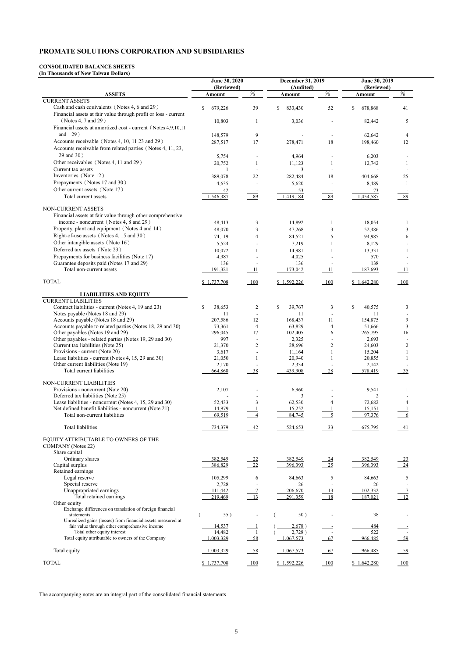#### **CONSOLIDATED BALANCE SHEETS (In Thousands of New Taiwan Dollars)**

|                                                                                                               | June 30, 2020<br>(Reviewed) |                | December 31, 2019<br>(Audited) |                          | June 30, 2019<br>(Reviewed) |                               |  |
|---------------------------------------------------------------------------------------------------------------|-----------------------------|----------------|--------------------------------|--------------------------|-----------------------------|-------------------------------|--|
| <b>ASSETS</b>                                                                                                 | Amount                      | $\%$           | Amount                         | $\%$                     | Amount                      | $\%$                          |  |
| <b>CURRENT ASSETS</b><br>Cash and cash equivalents (Notes 4, 6 and 29)                                        | 679,226<br>\$               | 39             | \$<br>833,430                  | 52                       | \$<br>678,868               | 41                            |  |
| Financial assets at fair value through profit or loss - current<br>(Notes 4, 7 and 29)                        | 10,803                      | -1             | 3,036                          |                          | 82,442                      | 5                             |  |
| Financial assets at amortized cost - current (Notes 4,9,10,11<br>and $29)$                                    | 148,579                     | 9              |                                |                          | 62,642                      | 4                             |  |
| Accounts receivable (Notes 4, 10, 11 23 and 29)<br>Accounts receivable from related parties (Notes 4, 11, 23, | 287,517                     | 17             | 278,471                        | 18                       | 198,460                     | 12                            |  |
| 29 and 30)                                                                                                    | 5,754                       |                | 4,964                          |                          | 6,203                       |                               |  |
| Other receivables (Notes 4, 11 and 29)<br>Current tax assets                                                  | 20,752                      | $\blacksquare$ | 11,123<br>3                    |                          | 12,742                      |                               |  |
| Inventories (Note 12)                                                                                         | 389,078                     | 22             | 282,484                        | 18                       | 404,668                     | 25                            |  |
| Prepayments (Notes 17 and 30)                                                                                 | 4,635                       |                | 5,620                          |                          | 8,489                       |                               |  |
| Other current assets (Note 17)<br>Total current assets                                                        | 42<br>1,546,387             | 89             | 53<br>1,419,184                | 89                       | 73<br>1,454,587             | 89                            |  |
| NON-CURRENT ASSETS                                                                                            |                             |                |                                |                          |                             |                               |  |
| Financial assets at fair value through other comprehensive                                                    |                             |                |                                |                          |                             |                               |  |
| income - noncurrent (Notes 4, 8 and 29)                                                                       | 48,413                      | 3              | 14,892                         | 1                        | 18,054                      | 1                             |  |
| Property, plant and equipment (Notes 4 and 14)<br>Right-of-use assets (Notes 4, 15 and 30)                    | 48,070                      | 3              | 47,268                         | 3                        | 52,486                      | 3                             |  |
| Other intangible assets (Note 16)                                                                             | 74,119                      | 4              | 84,521                         | 5                        | 94,985<br>8,129             | 6                             |  |
| Deferred tax assets (Note 23)                                                                                 | 5,524<br>10,072             |                | 7,219<br>14,981                |                          | 13,331                      |                               |  |
| Prepayments for business facilities (Note 17)                                                                 | 4,987                       |                | 4,025                          |                          | 570                         |                               |  |
| Guarantee deposits paid (Notes 17 and 29)<br>Total non-current assets                                         | 136<br>191,321              | -11            | 136<br>173,042                 | 11                       | 138<br>187,693              | -11                           |  |
| <b>TOTAL</b>                                                                                                  | \$1,737,708                 | 100            | \$1,592,226                    |                          | \$1,642,280                 | $\underline{\underline{100}}$ |  |
|                                                                                                               |                             |                |                                |                          |                             |                               |  |
| <b>LIABILITIES AND EQUITY</b><br><b>CURRENT LIABILITIES</b>                                                   |                             |                |                                |                          |                             |                               |  |
| Contract liabilities - current (Notes 4, 19 and 23)<br>Notes payable (Notes 18 and 29)                        | \$<br>38,653<br>11          | 2              | 39,767<br><sup>\$</sup><br>11  | 3                        | \$<br>40,575<br>11          | $\mathfrak{Z}$                |  |
| Accounts payable (Notes 18 and 29)                                                                            | 207,586                     | 12             | 168,437                        | 11                       | 154,875                     | 9                             |  |
| Accounts payable to related parties (Notes 18, 29 and 30)                                                     | 73,361                      | $\overline{4}$ | 63,829                         | $\overline{\mathcal{A}}$ | 51,666                      | $\mathfrak{Z}$                |  |
| Other payables (Notes 19 and 29)                                                                              | 296,045                     | 17             | 102,405                        | 6                        | 265,795                     | 16                            |  |
| Other payables - related parties (Notes 19, 29 and 30)                                                        | 997                         | $\overline{2}$ | 2,325                          |                          | 2,693                       |                               |  |
| Current tax liabilities (Note 25)<br>Provisions - current (Note 20)                                           | 21,370<br>3,617             |                | 28,696<br>11,164               | $\overline{c}$           | 24,603<br>15,204            | 2                             |  |
| Lease liabilities - current (Notes 4, 15, 29 and 30)                                                          | 21,050                      |                | 20,940                         |                          | 20,855                      |                               |  |
| Other current liabilities (Note 19)                                                                           | 2,170                       |                | 2,334                          |                          | 2,142                       |                               |  |
| Total current liabilities                                                                                     | 664,860                     | 38             | 439,908                        | 28                       | 578,419                     | 35                            |  |
| NON-CURRENT LIABILITIES                                                                                       |                             |                |                                |                          |                             |                               |  |
| Provisions - noncurrent (Note 20)<br>Deferred tax liabilities (Note 25)                                       | 2,107                       |                | 6,960<br>3                     |                          | 9,541<br>2                  |                               |  |
| Lease liabilities - noncurrent (Notes 4, 15, 29 and 30)                                                       | 52,433                      | 3              | 62,530                         | 4                        | 72,682                      | $\overline{4}$                |  |
| Net defined benefit liabilities - noncurrent (Note 21)                                                        | 14,979                      |                | 15,252                         |                          | 15,151                      |                               |  |
| Total non-current liabilities                                                                                 | 69,519                      | $\overline{4}$ | 84,745                         | $\overline{\phantom{0}}$ | 97,376                      |                               |  |
| <b>Total liabilities</b>                                                                                      | 734,379                     | $-42$          | 524,653                        | $-33$                    | 675,795                     | $-41$                         |  |
| EQUITY ATTRIBUTABLE TO OWNERS OF THE<br><b>COMPANY</b> (Notes 22)                                             |                             |                |                                |                          |                             |                               |  |
| Share capital                                                                                                 |                             |                |                                |                          |                             |                               |  |
| Ordinary shares<br>Capital surplus                                                                            | 382,549<br>386,829          | 22<br>22       | 382,549<br>396,393             | $\frac{24}{25}$          | 382,549<br>396,393          | $\frac{23}{2}$<br>24          |  |
| Retained earnings                                                                                             |                             |                |                                |                          |                             |                               |  |
| Legal reserve                                                                                                 | 105,299                     | 6              | 84,663                         | 5                        | 84,663                      | 5                             |  |
| Special reserve                                                                                               | 2,728                       |                | 26                             |                          | 26                          |                               |  |
| Unappropriated earnings<br>Total retained earnings                                                            | 111,442                     | 13             | 206,670                        | 13<br>$-18$              | 102,332                     | 12                            |  |
| Other equity                                                                                                  | 219,469                     |                | 291,359                        |                          | 187,021                     |                               |  |
| Exchange differences on translation of foreign financial                                                      |                             |                |                                |                          |                             |                               |  |
| statements<br>Unrealized gains (losses) from financial assets measured at                                     | 55)                         |                | 50)                            |                          | 38                          |                               |  |
| fair value through other comprehensive income                                                                 | 14,537                      |                | 2,678)                         |                          | 484                         |                               |  |
| Total other equity interest                                                                                   | 14,482                      |                | 2,728)                         |                          | 522                         | $\frac{-}{59}$                |  |
| Total equity attributable to owners of the Company                                                            | 1,003,329                   | 58             | 1,067,573                      | 67                       | 966,485                     |                               |  |
| Total equity                                                                                                  | 1,003,329                   | $-58$          | 1,067,573                      | 67                       | 966,485                     | $-59$                         |  |
| <b>TOTAL</b>                                                                                                  | \$1,737,708                 | 100            | \$1,592,226                    | 100                      | \$1,642,280                 | 100                           |  |

The accompanying notes are an integral part of the consolidated financial statements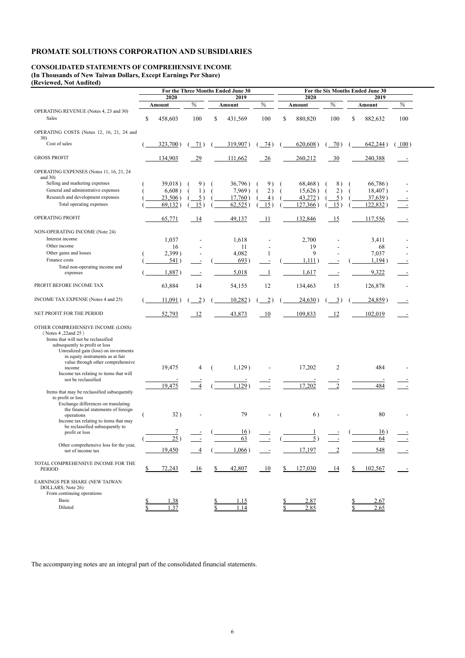### **CONSOLIDATED STATEMENTS OF COMPREHENSIVE INCOME (In Thousands of New Taiwan Dollars, Except Earnings Per Share)**

**(Reviewed, Not Audited)** 

|                                                                                                                                                    | For the Three Months Ended June 30 |            |                  |              | For the Six Months Ended June 30 |                 |    |                |                 |    |          |      |
|----------------------------------------------------------------------------------------------------------------------------------------------------|------------------------------------|------------|------------------|--------------|----------------------------------|-----------------|----|----------------|-----------------|----|----------|------|
|                                                                                                                                                    | 2020<br>2019                       |            |                  | 2020<br>2019 |                                  |                 |    |                |                 |    |          |      |
|                                                                                                                                                    |                                    | Amount     | %                |              | Amount                           | $\%$            |    | Amount         | $\%$            |    | Amount   | %    |
| OPERATING REVENUE (Notes 4, 23 and 30)                                                                                                             |                                    |            |                  |              |                                  |                 |    |                |                 |    |          |      |
| Sales                                                                                                                                              | \$                                 | 458,603    | 100              | \$           | 431,569                          | 100             | \$ | 880,820        | 100             | \$ | 882,632  | 100  |
| OPERATING COSTS (Notes 12, 16, 21, 24 and                                                                                                          |                                    |            |                  |              |                                  |                 |    |                |                 |    |          |      |
| 30)<br>Cost of sales                                                                                                                               |                                    |            |                  |              | 319,907)                         |                 |    | 620,608)       |                 |    |          | 100) |
|                                                                                                                                                    |                                    | 323,700)   | 71)              |              |                                  | $\frac{74}{ }$  |    |                | 70)             |    | 642,244) |      |
| <b>GROSS PROFIT</b>                                                                                                                                |                                    | 134,903    | 29               |              | 111,662                          | $-26$           |    | 260,212        | $\frac{30}{2}$  |    | 240,388  |      |
| OPERATING EXPENSES (Notes 11, 16, 21, 24                                                                                                           |                                    |            |                  |              |                                  |                 |    |                |                 |    |          |      |
| and $30)$                                                                                                                                          |                                    |            |                  |              |                                  |                 |    |                |                 |    |          |      |
| Selling and marketing expenses                                                                                                                     |                                    | 39,018)    | 9)               |              | 36,796)                          | 9)              |    | 68,468)        | 8)              |    | 66,786)  |      |
| General and administrative expenses                                                                                                                |                                    | 6,608)     | 1)               |              | 7,969)                           | 2)              |    | 15,626)        | 2)              |    | 18,407)  |      |
| Research and development expenses                                                                                                                  |                                    | 23,506)    | $\overline{5}$ ) |              | 17,760)                          | 4)              |    | 43,272)        | $\overline{5})$ |    | 37,639)  |      |
| Total operating expenses                                                                                                                           |                                    | 69,132)    | 15)              |              | 62,525                           | 15)             |    | 127,366        | 15)             |    | 122,832) |      |
| OPERATING PROFIT                                                                                                                                   |                                    | 65,771     | 14               |              | 49,137                           | -11             |    | 132,846        | 15              |    | 117,556  |      |
| NON-OPERATING INCOME (Note 24)                                                                                                                     |                                    |            |                  |              |                                  |                 |    |                |                 |    |          |      |
| Interest income                                                                                                                                    |                                    | 1,037      |                  |              | 1,618                            |                 |    | 2,700          |                 |    | 3,411    |      |
| Other income                                                                                                                                       |                                    | 16         |                  |              | 11                               |                 |    | 19             |                 |    | 68       |      |
| Other gains and losses                                                                                                                             |                                    | 2,399)     |                  |              | 4,082                            |                 |    | 9              |                 |    | 7,037    |      |
| Finance costs                                                                                                                                      |                                    | 541)       |                  |              | 693)                             |                 |    | 1,111)         |                 |    | 1,194)   |      |
| Total non-operating income and                                                                                                                     |                                    |            |                  |              |                                  |                 |    |                |                 |    |          |      |
| expenses                                                                                                                                           |                                    | 1,887)     |                  |              | 5,018                            |                 |    | 1,617          |                 |    | 9,322    |      |
| PROFIT BEFORE INCOME TAX                                                                                                                           |                                    | 63,884     | 14               |              | 54,155                           | 12              |    | 134,463        | 15              |    | 126,878  |      |
| INCOME TAX EXPENSE (Notes 4 and 25)                                                                                                                |                                    | $11,091$ ) | $\overline{2})$  |              | 10,282)                          | $\overline{2})$ |    | 24,630)        | $\overline{3})$ |    | 24,859)  |      |
| NET PROFIT FOR THE PERIOD                                                                                                                          |                                    | 52,793     | 12               |              | 43,873                           | 10              |    | 109,833        | 12              |    | 102,019  |      |
| OTHER COMPREHENSIVE INCOME (LOSS)<br>( Notes 4, 22and 25)                                                                                          |                                    |            |                  |              |                                  |                 |    |                |                 |    |          |      |
| Items that will not be reclassified<br>subsequently to profit or loss<br>Unrealized gain (loss) on investments<br>in equity instruments as at fair |                                    |            |                  |              |                                  |                 |    |                |                 |    |          |      |
| value through other comprehensive<br>income                                                                                                        |                                    | 19,475     | 4                |              | 1,129)                           |                 |    | 17,202         | $\overline{2}$  |    | 484      |      |
| Income tax relating to items that will                                                                                                             |                                    |            |                  |              |                                  |                 |    |                |                 |    |          |      |
| not be reclassified                                                                                                                                |                                    | 19,475     |                  |              | 1,129                            |                 |    |                | 2               |    | 484      |      |
| Items that may be reclassified subsequently<br>to profit or loss                                                                                   |                                    |            |                  |              |                                  |                 |    | 17,202         |                 |    |          |      |
| Exchange differences on translating                                                                                                                |                                    |            |                  |              |                                  |                 |    |                |                 |    |          |      |
| the financial statements of foreign<br>operations                                                                                                  |                                    | 32)        |                  |              | 79                               |                 |    | 6)             |                 |    | 80       |      |
| Income tax relating to items that may                                                                                                              |                                    |            |                  |              |                                  |                 |    |                |                 |    |          |      |
| be reclassified subsequently to                                                                                                                    |                                    |            |                  |              |                                  |                 |    |                |                 |    |          |      |
| profit or loss                                                                                                                                     |                                    |            |                  |              | 16)                              |                 |    |                |                 |    | 16)      |      |
|                                                                                                                                                    |                                    | 25         |                  |              | $\overline{63}$                  |                 |    | 5 <sup>1</sup> |                 |    | 64       |      |
| Other comprehensive loss for the year,                                                                                                             |                                    | 19,450     |                  |              | $1,066$ )                        |                 |    | 17,197         | $\overline{2}$  |    | 548      |      |
| net of income tax                                                                                                                                  |                                    |            |                  |              |                                  |                 |    |                |                 |    |          |      |
| TOTAL COMPREHENSIVE INCOME FOR THE<br>PERIOD                                                                                                       |                                    | 72,243     | $-16$            |              | 42,807                           | 10              |    | 127,030        | $-14$           |    | 102,567  |      |
|                                                                                                                                                    |                                    |            |                  |              |                                  |                 |    |                |                 |    |          |      |

EARNINGS PER SHARE (NEW TAIWAN

From continuing operations

| Basic      |               |  |  |  |
|------------|---------------|--|--|--|
| $P$ ilute. | $\sim$ $\sim$ |  |  |  |

The accompanying notes are an integral part of the consolidated financial statements.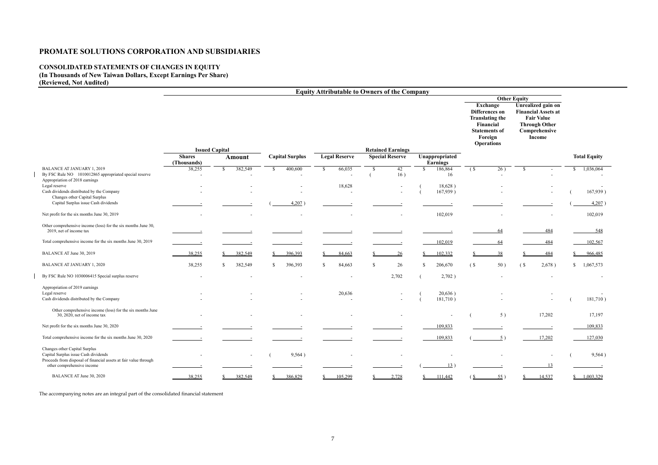### **CONSOLIDATED STATEMENTS OF CHANGES IN EQUITY (In Thousands of New Taiwan Dollars, Except Earnings Per Share) (Reviewed, Not Audited)**

 $\overline{\phantom{a}}$ 

 $\begin{array}{c} \hline \end{array}$ 

|                                                                                                                                           |                          |                                        |                        |                          | <b>Equity Attributable to Owners of the Company</b> |                          |                                                                                                                           |                                                                                                                          |                           |
|-------------------------------------------------------------------------------------------------------------------------------------------|--------------------------|----------------------------------------|------------------------|--------------------------|-----------------------------------------------------|--------------------------|---------------------------------------------------------------------------------------------------------------------------|--------------------------------------------------------------------------------------------------------------------------|---------------------------|
|                                                                                                                                           |                          |                                        |                        |                          |                                                     |                          |                                                                                                                           | <b>Other Equity</b>                                                                                                      |                           |
|                                                                                                                                           |                          |                                        |                        |                          |                                                     |                          | Exchange<br>Differences on<br><b>Translating the</b><br>Financial<br><b>Statements of</b><br>Foreign<br><b>Operations</b> | Unrealized gain on<br><b>Financial Assets at</b><br><b>Fair Value</b><br><b>Through Other</b><br>Comprehensive<br>Income |                           |
|                                                                                                                                           | <b>Shares</b>            | <b>Issued Capital</b><br><b>Amount</b> | <b>Capital Surplus</b> | <b>Legal Reserve</b>     | <b>Retained Earnings</b><br><b>Special Reserve</b>  | Unappropriated           |                                                                                                                           |                                                                                                                          | <b>Total Equity</b>       |
|                                                                                                                                           | (Thousands)              |                                        |                        |                          |                                                     | <b>Earnings</b>          |                                                                                                                           |                                                                                                                          |                           |
| <b>BALANCE AT JANUARY 1, 2019</b><br>By FSC Rule NO 1010012865 appropriated special reserve<br>Appropriation of 2018 earnings             | 38,255                   | 382,549<br>-S                          | 400,600<br>-SS         | 66,035                   | 42<br>16)                                           | 186,864<br>S.<br>16      | $\overline{26}$ )<br>(S <sup>2</sup> )                                                                                    | <sup>\$</sup>                                                                                                            | 1,036,064<br><sup>S</sup> |
| Legal reserve<br>Cash dividends distributed by the Company<br>Changes other Capital Surplus                                               |                          |                                        |                        | 18,628                   |                                                     | 18,628)<br>167,939)      |                                                                                                                           |                                                                                                                          | 167,939)                  |
| Capital Surplus issue Cash dividends                                                                                                      |                          |                                        | 4,207                  |                          |                                                     |                          |                                                                                                                           |                                                                                                                          | $4,207$ )                 |
| Net profit for the six months June 30, 2019                                                                                               |                          |                                        |                        |                          |                                                     | 102,019                  |                                                                                                                           |                                                                                                                          | 102,019                   |
| Other comprehensive income (loss) for the six months June 30,<br>2019, net of income tax                                                  |                          |                                        |                        |                          |                                                     |                          | 64                                                                                                                        | 484                                                                                                                      | 548                       |
| Total comprehensive income for the six months June 30, 2019                                                                               |                          |                                        |                        |                          |                                                     | 102,019                  | 64                                                                                                                        | 484                                                                                                                      | 102,567                   |
| BALANCE AT June 30, 2019                                                                                                                  | 38,255                   | 382,549                                | 396,393                | 84,663                   | <u>26</u>                                           | 102,332                  | 38                                                                                                                        | 484                                                                                                                      | 966,485                   |
| <b>BALANCE AT JANUARY 1, 2020</b>                                                                                                         | 38,255                   | 382,549<br><sup>\$</sup>               | 396,393<br>S.          | 84,663<br>-S             | 26                                                  | 206,670<br><sup>\$</sup> | (S <sub>0</sub> )<br>50)                                                                                                  | (S)<br>2,678)                                                                                                            | 1,067,573<br>S.           |
| By FSC Rule NO 1030006415 Special surplus reserve                                                                                         |                          |                                        |                        |                          | 2,702                                               | 2,702)                   |                                                                                                                           |                                                                                                                          |                           |
| Appropriation of 2019 earnings<br>Legal reserve<br>Cash dividends distributed by the Company                                              |                          |                                        |                        | 20,636                   | $\overline{\phantom{a}}$                            | 20,636)<br>181,710)      |                                                                                                                           |                                                                                                                          | 181,710)                  |
| Other comprehensive income (loss) for the six months June<br>30, 2020, net of income tax                                                  |                          |                                        |                        |                          |                                                     |                          | 5)                                                                                                                        | 17,202                                                                                                                   | 17,197                    |
| Net profit for the six months June 30, 2020                                                                                               |                          |                                        |                        |                          |                                                     | 109,833                  |                                                                                                                           |                                                                                                                          | 109,833                   |
| Total comprehensive income for the six months June 30, 2020                                                                               |                          |                                        |                        |                          |                                                     | 109,833                  |                                                                                                                           | 17,202                                                                                                                   | 127,030                   |
| Changes other Capital Surplus<br>Capital Surplus issue Cash dividends<br>Proceeds from disposal of financial assets at fair value through | $\overline{\phantom{a}}$ | $\sim$                                 | 9,564)                 | $\overline{\phantom{a}}$ | $\overline{\phantom{a}}$                            | $\overline{\phantom{a}}$ |                                                                                                                           | $\overline{\phantom{a}}$                                                                                                 | 9,564)                    |
| other comprehensive income                                                                                                                |                          |                                        |                        |                          |                                                     | 13)                      |                                                                                                                           |                                                                                                                          |                           |
| BALANCE AT June 30, 2020                                                                                                                  | 38,255                   | 382,549                                | 386,829                | 105,299                  | 2,728                                               | 111,442                  | 55)                                                                                                                       | 14,537                                                                                                                   | 1,003,329<br>$\mathbf{S}$ |

The accompanying notes are an integral part of the consolidated financial statement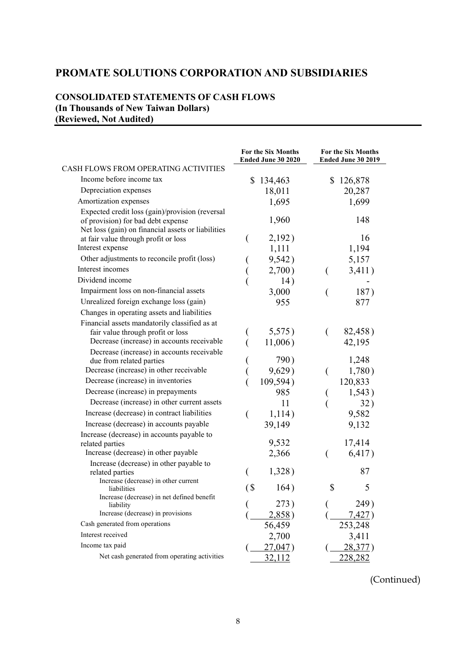### **CONSOLIDATED STATEMENTS OF CASH FLOWS (In Thousands of New Taiwan Dollars) (Reviewed, Not Audited)**

|                                                                                                   | For the Six Months<br>Ended June 30 2020 | For the Six Months<br>Ended June 30 2019 |
|---------------------------------------------------------------------------------------------------|------------------------------------------|------------------------------------------|
| CASH FLOWS FROM OPERATING ACTIVITIES                                                              |                                          |                                          |
| Income before income tax                                                                          | \$134,463                                | \$126,878                                |
| Depreciation expenses                                                                             | 18,011                                   | 20,287                                   |
| Amortization expenses                                                                             | 1,695                                    | 1,699                                    |
| Expected credit loss (gain)/provision (reversal<br>of provision) for bad debt expense             | 1,960                                    | 148                                      |
| Net loss (gain) on financial assets or liabilities<br>at fair value through profit or loss        | 2,192)<br>€                              | 16                                       |
| Interest expense                                                                                  | 1,111                                    | 1,194                                    |
| Other adjustments to reconcile profit (loss)                                                      | 9,542)                                   | 5,157                                    |
| Interest incomes                                                                                  | 2,700)                                   | 3,411)<br>€                              |
| Dividend income                                                                                   | 14)                                      |                                          |
| Impairment loss on non-financial assets                                                           | 3,000                                    | 187)                                     |
| Unrealized foreign exchange loss (gain)                                                           | 955                                      | 877                                      |
| Changes in operating assets and liabilities                                                       |                                          |                                          |
| Financial assets mandatorily classified as at                                                     |                                          |                                          |
| fair value through profit or loss                                                                 | 5,575)                                   | 82,458)<br>€                             |
| Decrease (increase) in accounts receivable                                                        | 11,006)                                  | 42,195                                   |
| Decrease (increase) in accounts receivable                                                        |                                          |                                          |
| due from related parties                                                                          | 790)                                     | 1,248                                    |
| Decrease (increase) in other receivable                                                           | 9,629)                                   | 1,780)<br>€                              |
| Decrease (increase) in inventories                                                                | 109,594)                                 | 120,833                                  |
| Decrease (increase) in prepayments                                                                | 985                                      | 1,543)                                   |
| Decrease (increase) in other current assets                                                       | 11                                       | 32)                                      |
| Increase (decrease) in contract liabilities                                                       | 1,114)<br>(                              | 9,582                                    |
| Increase (decrease) in accounts payable                                                           | 39,149                                   | 9,132                                    |
| Increase (decrease) in accounts payable to<br>related parties                                     | 9,532                                    | 17,414                                   |
| Increase (decrease) in other payable                                                              | 2,366                                    | 6,417)                                   |
| Increase (decrease) in other payable to<br>related parties                                        | 1,328)                                   | 87                                       |
| Increase (decrease) in other current<br>liabilities<br>Increase (decrease) in net defined benefit | $\left( \text{\$}$<br>164)               | \$<br>5                                  |
| liability                                                                                         | 273)                                     | 249)                                     |
| Increase (decrease) in provisions                                                                 | 2,858)                                   | 7.427                                    |
| Cash generated from operations                                                                    | 56,459                                   | 253,248                                  |
| Interest received                                                                                 | 2,700                                    | 3,411                                    |
| Income tax paid                                                                                   | 27,047)                                  | 28,377)                                  |
| Net cash generated from operating activities                                                      | 32,112                                   | 228,282                                  |

(Continued)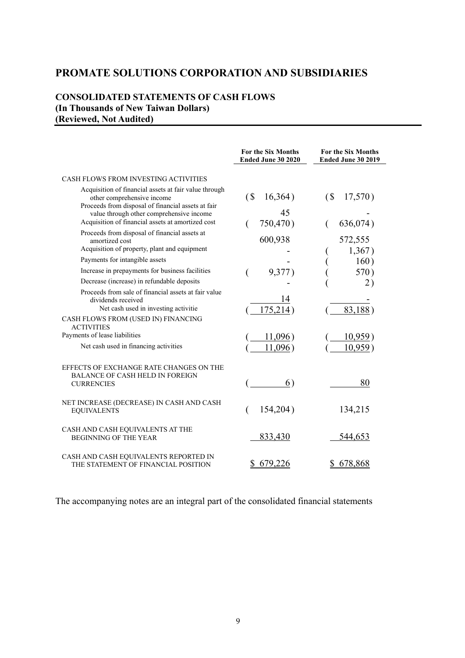### **CONSOLIDATED STATEMENTS OF CASH FLOWS (In Thousands of New Taiwan Dollars) (Reviewed, Not Audited)**

|                                                                                                                                           | <b>For the Six Months</b><br>Ended June 30 2020 | <b>For the Six Months</b><br>Ended June 30 2019 |
|-------------------------------------------------------------------------------------------------------------------------------------------|-------------------------------------------------|-------------------------------------------------|
| CASH FLOWS FROM INVESTING ACTIVITIES                                                                                                      |                                                 |                                                 |
| Acquisition of financial assets at fair value through<br>other comprehensive income<br>Proceeds from disposal of financial assets at fair | $\sqrt{S}$<br>16,364)                           | $\sqrt{S}$<br>17,570)                           |
| value through other comprehensive income<br>Acquisition of financial assets at amortized cost                                             | 45<br>750,470)                                  | 636,074)                                        |
| Proceeds from disposal of financial assets at<br>amortized cost                                                                           | 600,938                                         | 572,555                                         |
| Acquisition of property, plant and equipment                                                                                              |                                                 | 1,367)                                          |
| Payments for intangible assets                                                                                                            |                                                 | 160)                                            |
| Increase in prepayments for business facilities                                                                                           | 9,377)                                          | 570)                                            |
| Decrease (increase) in refundable deposits                                                                                                |                                                 | 2)                                              |
| Proceeds from sale of financial assets at fair value<br>dividends received<br>Net cash used in investing activitie                        | 14<br>175,214)                                  | 83,188)                                         |
| CASH FLOWS FROM (USED IN) FINANCING<br><b>ACTIVITIES</b>                                                                                  |                                                 |                                                 |
| Payments of lease liabilities                                                                                                             | 11,096)                                         | 10,959)                                         |
| Net cash used in financing activities                                                                                                     | 11,096)                                         | $10,959$ )                                      |
| EFFECTS OF EXCHANGE RATE CHANGES ON THE<br><b>BALANCE OF CASH HELD IN FOREIGN</b><br><b>CURRENCIES</b>                                    | 6)                                              | 80                                              |
| NET INCREASE (DECREASE) IN CASH AND CASH<br><b>EQUIVALENTS</b>                                                                            | 154,204)                                        | 134,215                                         |
| CASH AND CASH EQUIVALENTS AT THE<br><b>BEGINNING OF THE YEAR</b>                                                                          | 833,430                                         | 544,653                                         |
| CASH AND CASH EQUIVALENTS REPORTED IN<br>THE STATEMENT OF FINANCIAL POSITION                                                              | 679,226                                         | 678,868                                         |

The accompanying notes are an integral part of the consolidated financial statements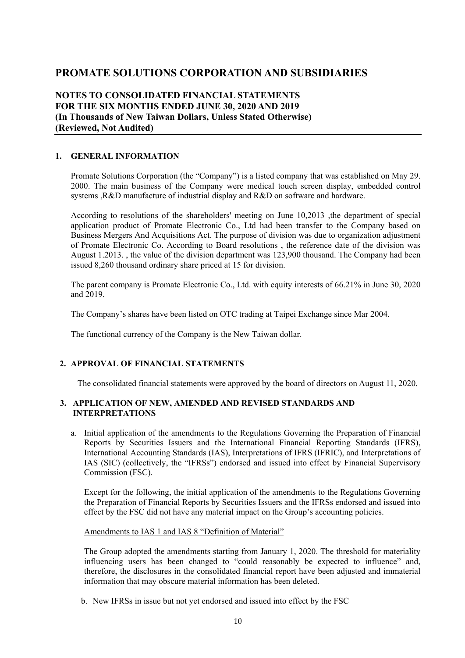### **NOTES TO CONSOLIDATED FINANCIAL STATEMENTS FOR THE SIX MONTHS ENDED JUNE 30, 2020 AND 2019 (In Thousands of New Taiwan Dollars, Unless Stated Otherwise) (Reviewed, Not Audited)**

#### **1. GENERAL INFORMATION**

Promate Solutions Corporation (the "Company") is a listed company that was established on May 29. 2000. The main business of the Company were medical touch screen display, embedded control systems ,R&D manufacture of industrial display and R&D on software and hardware.

According to resolutions of the shareholders' meeting on June 10,2013 ,the department of special application product of Promate Electronic Co., Ltd had been transfer to the Company based on Business Mergers And Acquisitions Act. The purpose of division was due to organization adjustment of Promate Electronic Co. According to Board resolutions , the reference date of the division was August 1.2013. , the value of the division department was 123,900 thousand. The Company had been issued 8,260 thousand ordinary share priced at 15 for division.

The parent company is Promate Electronic Co., Ltd. with equity interests of 66.21% in June 30, 2020 and 2019.

The Company's shares have been listed on OTC trading at Taipei Exchange since Mar 2004.

The functional currency of the Company is the New Taiwan dollar.

#### **2. APPROVAL OF FINANCIAL STATEMENTS**

The consolidated financial statements were approved by the board of directors on August 11, 2020.

#### **3. APPLICATION OF NEW, AMENDED AND REVISED STANDARDS AND INTERPRETATIONS**

a. Initial application of the amendments to the Regulations Governing the Preparation of Financial Reports by Securities Issuers and the International Financial Reporting Standards (IFRS), International Accounting Standards (IAS), Interpretations of IFRS (IFRIC), and Interpretations of IAS (SIC) (collectively, the "IFRSs") endorsed and issued into effect by Financial Supervisory Commission (FSC).

Except for the following, the initial application of the amendments to the Regulations Governing the Preparation of Financial Reports by Securities Issuers and the IFRSs endorsed and issued into effect by the FSC did not have any material impact on the Group's accounting policies.

#### Amendments to IAS 1 and IAS 8 "Definition of Material"

The Group adopted the amendments starting from January 1, 2020. The threshold for materiality influencing users has been changed to "could reasonably be expected to influence" and, therefore, the disclosures in the consolidated financial report have been adjusted and immaterial information that may obscure material information has been deleted.

b. New IFRSs in issue but not yet endorsed and issued into effect by the FSC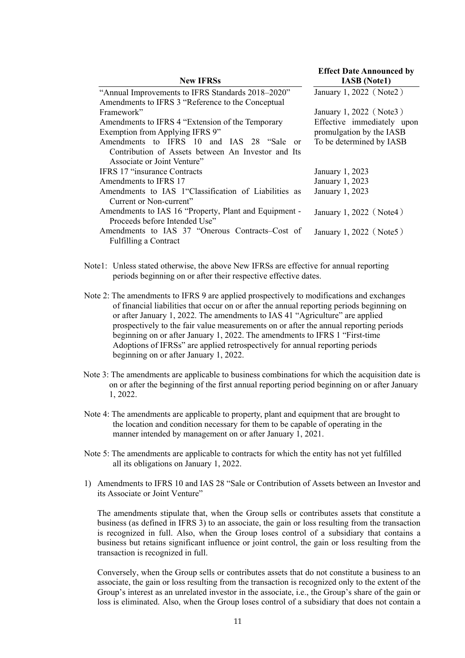|                                                       | <b>Effect Date Announced by</b> |
|-------------------------------------------------------|---------------------------------|
| <b>New IFRSs</b>                                      | <b>IASB</b> (Note1)             |
| "Annual Improvements to IFRS Standards 2018–2020"     | January 1, 2022 (Note2)         |
| Amendments to IFRS 3 "Reference to the Conceptual     |                                 |
| Framework"                                            | January 1, 2022 (Note3)         |
| Amendments to IFRS 4 "Extension of the Temporary      | Effective immediately upon      |
| Exemption from Applying IFRS 9"                       | promulgation by the IASB        |
| Amendments to IFRS 10 and IAS 28 "Sale<br>$\alpha$    | To be determined by IASB        |
| Contribution of Assets between An Investor and Its    |                                 |
| Associate or Joint Venture"                           |                                 |
| <b>IFRS 17 "insurance Contracts"</b>                  | January 1, 2023                 |
| Amendments to IFRS 17                                 | January 1, 2023                 |
| Amendments to IAS 1"Classification of Liabilities as  | January 1, 2023                 |
| Current or Non-current"                               |                                 |
| Amendments to IAS 16 "Property, Plant and Equipment - | January 1, 2022 (Note4)         |
| Proceeds before Intended Use"                         |                                 |
| Amendments to IAS 37 "Onerous Contracts-Cost of       | January 1, 2022 (Note5)         |
| <b>Fulfilling a Contract</b>                          |                                 |

- Note1: Unless stated otherwise, the above New IFRSs are effective for annual reporting periods beginning on or after their respective effective dates.
- Note 2: The amendments to IFRS 9 are applied prospectively to modifications and exchanges of financial liabilities that occur on or after the annual reporting periods beginning on or after January 1, 2022. The amendments to IAS 41 "Agriculture" are applied prospectively to the fair value measurements on or after the annual reporting periods beginning on or after January 1, 2022. The amendments to IFRS 1 "First-time Adoptions of IFRSs" are applied retrospectively for annual reporting periods beginning on or after January 1, 2022.
- Note 3: The amendments are applicable to business combinations for which the acquisition date is on or after the beginning of the first annual reporting period beginning on or after January 1, 2022.
- Note 4: The amendments are applicable to property, plant and equipment that are brought to the location and condition necessary for them to be capable of operating in the manner intended by management on or after January 1, 2021.
- Note 5: The amendments are applicable to contracts for which the entity has not yet fulfilled all its obligations on January 1, 2022.
- 1) Amendments to IFRS 10 and IAS 28 "Sale or Contribution of Assets between an Investor and its Associate or Joint Venture"

The amendments stipulate that, when the Group sells or contributes assets that constitute a business (as defined in IFRS 3) to an associate, the gain or loss resulting from the transaction is recognized in full. Also, when the Group loses control of a subsidiary that contains a business but retains significant influence or joint control, the gain or loss resulting from the transaction is recognized in full.

Conversely, when the Group sells or contributes assets that do not constitute a business to an associate, the gain or loss resulting from the transaction is recognized only to the extent of the Group's interest as an unrelated investor in the associate, i.e., the Group's share of the gain or loss is eliminated. Also, when the Group loses control of a subsidiary that does not contain a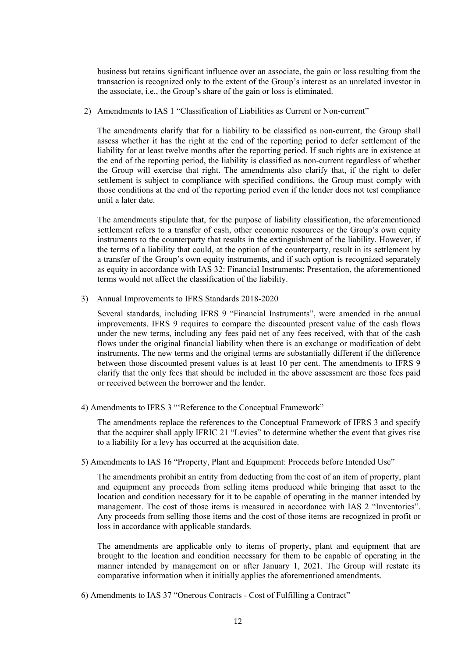business but retains significant influence over an associate, the gain or loss resulting from the transaction is recognized only to the extent of the Group's interest as an unrelated investor in the associate, i.e., the Group's share of the gain or loss is eliminated.

2) Amendments to IAS 1 "Classification of Liabilities as Current or Non-current"

The amendments clarify that for a liability to be classified as non-current, the Group shall assess whether it has the right at the end of the reporting period to defer settlement of the liability for at least twelve months after the reporting period. If such rights are in existence at the end of the reporting period, the liability is classified as non-current regardless of whether the Group will exercise that right. The amendments also clarify that, if the right to defer settlement is subject to compliance with specified conditions, the Group must comply with those conditions at the end of the reporting period even if the lender does not test compliance until a later date.

The amendments stipulate that, for the purpose of liability classification, the aforementioned settlement refers to a transfer of cash, other economic resources or the Group's own equity instruments to the counterparty that results in the extinguishment of the liability. However, if the terms of a liability that could, at the option of the counterparty, result in its settlement by a transfer of the Group's own equity instruments, and if such option is recognized separately as equity in accordance with IAS 32: Financial Instruments: Presentation, the aforementioned terms would not affect the classification of the liability.

3) Annual Improvements to IFRS Standards 2018-2020

Several standards, including IFRS 9 "Financial Instruments", were amended in the annual improvements. IFRS 9 requires to compare the discounted present value of the cash flows under the new terms, including any fees paid net of any fees received, with that of the cash flows under the original financial liability when there is an exchange or modification of debt instruments. The new terms and the original terms are substantially different if the difference between those discounted present values is at least 10 per cent. The amendments to IFRS 9 clarify that the only fees that should be included in the above assessment are those fees paid or received between the borrower and the lender.

4) Amendments to IFRS 3 "'Reference to the Conceptual Framework"

The amendments replace the references to the Conceptual Framework of IFRS 3 and specify that the acquirer shall apply IFRIC 21 "Levies" to determine whether the event that gives rise to a liability for a levy has occurred at the acquisition date.

5) Amendments to IAS 16 "Property, Plant and Equipment: Proceeds before Intended Use"

The amendments prohibit an entity from deducting from the cost of an item of property, plant and equipment any proceeds from selling items produced while bringing that asset to the location and condition necessary for it to be capable of operating in the manner intended by management. The cost of those items is measured in accordance with IAS 2 "Inventories". Any proceeds from selling those items and the cost of those items are recognized in profit or loss in accordance with applicable standards.

The amendments are applicable only to items of property, plant and equipment that are brought to the location and condition necessary for them to be capable of operating in the manner intended by management on or after January 1, 2021. The Group will restate its comparative information when it initially applies the aforementioned amendments.

6) Amendments to IAS 37 "Onerous Contracts - Cost of Fulfilling a Contract"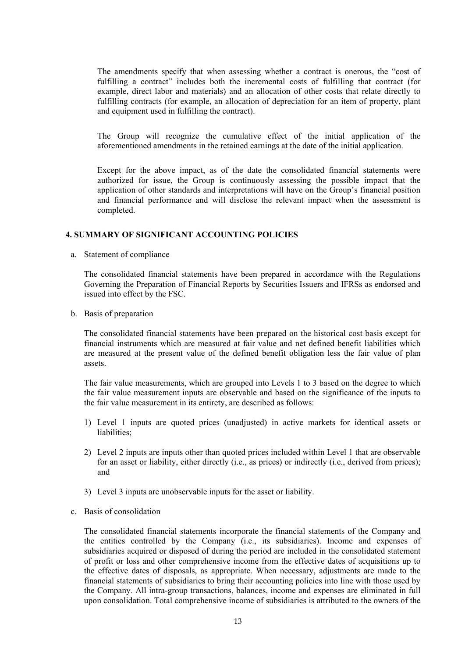The amendments specify that when assessing whether a contract is onerous, the "cost of fulfilling a contract" includes both the incremental costs of fulfilling that contract (for example, direct labor and materials) and an allocation of other costs that relate directly to fulfilling contracts (for example, an allocation of depreciation for an item of property, plant and equipment used in fulfilling the contract).

The Group will recognize the cumulative effect of the initial application of the aforementioned amendments in the retained earnings at the date of the initial application.

Except for the above impact, as of the date the consolidated financial statements were authorized for issue, the Group is continuously assessing the possible impact that the application of other standards and interpretations will have on the Group's financial position and financial performance and will disclose the relevant impact when the assessment is completed.

#### **4. SUMMARY OF SIGNIFICANT ACCOUNTING POLICIES**

a. Statement of compliance

The consolidated financial statements have been prepared in accordance with the Regulations Governing the Preparation of Financial Reports by Securities Issuers and IFRSs as endorsed and issued into effect by the FSC.

b. Basis of preparation

The consolidated financial statements have been prepared on the historical cost basis except for financial instruments which are measured at fair value and net defined benefit liabilities which are measured at the present value of the defined benefit obligation less the fair value of plan assets.

The fair value measurements, which are grouped into Levels 1 to 3 based on the degree to which the fair value measurement inputs are observable and based on the significance of the inputs to the fair value measurement in its entirety, are described as follows:

- 1) Level 1 inputs are quoted prices (unadjusted) in active markets for identical assets or liabilities;
- 2) Level 2 inputs are inputs other than quoted prices included within Level 1 that are observable for an asset or liability, either directly (i.e., as prices) or indirectly (i.e., derived from prices); and
- 3) Level 3 inputs are unobservable inputs for the asset or liability.
- c. Basis of consolidation

The consolidated financial statements incorporate the financial statements of the Company and the entities controlled by the Company (i.e., its subsidiaries). Income and expenses of subsidiaries acquired or disposed of during the period are included in the consolidated statement of profit or loss and other comprehensive income from the effective dates of acquisitions up to the effective dates of disposals, as appropriate. When necessary, adjustments are made to the financial statements of subsidiaries to bring their accounting policies into line with those used by the Company. All intra-group transactions, balances, income and expenses are eliminated in full upon consolidation. Total comprehensive income of subsidiaries is attributed to the owners of the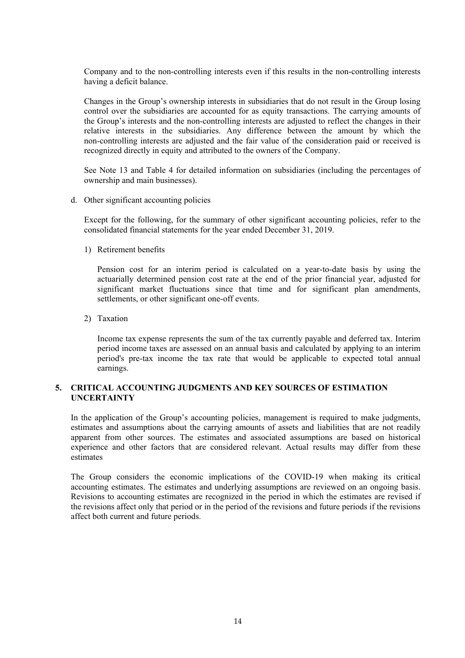Company and to the non-controlling interests even if this results in the non-controlling interests having a deficit balance.

Changes in the Group's ownership interests in subsidiaries that do not result in the Group losing control over the subsidiaries are accounted for as equity transactions. The carrying amounts of the Group's interests and the non-controlling interests are adjusted to reflect the changes in their relative interests in the subsidiaries. Any difference between the amount by which the non-controlling interests are adjusted and the fair value of the consideration paid or received is recognized directly in equity and attributed to the owners of the Company.

See Note 13 and Table 4 for detailed information on subsidiaries (including the percentages of ownership and main businesses).

d. Other significant accounting policies

Except for the following, for the summary of other significant accounting policies, refer to the consolidated financial statements for the year ended December 31, 2019.

1) Retirement benefits

Pension cost for an interim period is calculated on a year-to-date basis by using the actuarially determined pension cost rate at the end of the prior financial year, adjusted for significant market fluctuations since that time and for significant plan amendments, settlements, or other significant one-off events.

2) Taxation

Income tax expense represents the sum of the tax currently payable and deferred tax. Interim period income taxes are assessed on an annual basis and calculated by applying to an interim period's pre-tax income the tax rate that would be applicable to expected total annual earnings.

#### **5. CRITICAL ACCOUNTING JUDGMENTS AND KEY SOURCES OF ESTIMATION UNCERTAINTY**

In the application of the Group's accounting policies, management is required to make judgments, estimates and assumptions about the carrying amounts of assets and liabilities that are not readily apparent from other sources. The estimates and associated assumptions are based on historical experience and other factors that are considered relevant. Actual results may differ from these estimates

The Group considers the economic implications of the COVID-19 when making its critical accounting estimates. The estimates and underlying assumptions are reviewed on an ongoing basis. Revisions to accounting estimates are recognized in the period in which the estimates are revised if the revisions affect only that period or in the period of the revisions and future periods if the revisions affect both current and future periods.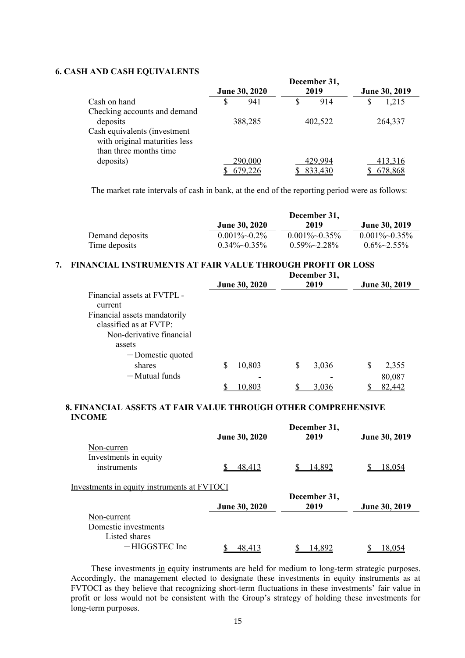#### **6. CASH AND CASH EQUIVALENTS**

|                               |               |  | December 31, |    |               |
|-------------------------------|---------------|--|--------------|----|---------------|
|                               | June 30, 2020 |  | 2019         |    | June 30, 2019 |
| Cash on hand                  | 941           |  | 914          | \$ | 1,215         |
| Checking accounts and demand  |               |  |              |    |               |
| deposits                      | 388,285       |  | 402,522      |    | 264,337       |
| Cash equivalents (investment  |               |  |              |    |               |
| with original maturities less |               |  |              |    |               |
| than three months time        |               |  |              |    |               |
| deposits)                     | 290,000       |  | 429,994      |    | 413,316       |
|                               | 679.226       |  | 833,430      |    | 678,868       |

The market rate intervals of cash in bank, at the end of the reporting period were as follows:

|                 |                        | December 31,           |                      |
|-----------------|------------------------|------------------------|----------------------|
|                 | <b>June 30, 2020</b>   | 2019                   | <b>June 30, 2019</b> |
| Demand deposits | $0.001\%$ $\sim$ 0.2\% | $0.001\%$ $\sim$ 0.35% | $0.001\%~0.35\%$     |
| Time deposits   | $0.34\%$ $\sim$ 0.35%  | $0.59\% \sim 2.28\%$   | $0.6\% \sim 2.55\%$  |

#### **7. FINANCIAL INSTRUMENTS AT FAIR VALUE THROUGH PROFIT OR LOSS**

|                              |   | June 30, 2020 | December 31,<br>2019 | June 30, 2019 |
|------------------------------|---|---------------|----------------------|---------------|
| Financial assets at FVTPL -  |   |               |                      |               |
| current                      |   |               |                      |               |
| Financial assets mandatorily |   |               |                      |               |
| classified as at FVTP:       |   |               |                      |               |
| Non-derivative financial     |   |               |                      |               |
| assets                       |   |               |                      |               |
| -Domestic quoted             |   |               |                      |               |
| shares                       | S | 10,803        | \$<br>3,036          | \$<br>2,355   |
| $-Mutual$ funds              |   |               |                      | 80,087        |
|                              |   | 10.803        | 3.036                | 82,442        |

#### **8. FINANCIAL ASSETS AT FAIR VALUE THROUGH OTHER COMPREHENSIVE INCOME**

|                                             | June 30, 2020 | December 31,<br>2019 | June 30, 2019 |
|---------------------------------------------|---------------|----------------------|---------------|
| Non-curren                                  |               |                      |               |
| Investments in equity                       |               |                      |               |
| instruments                                 | 48,413        | 14,892               | 18,054        |
| Investments in equity instruments at FVTOCI |               |                      |               |
|                                             | June 30, 2020 | December 31,<br>2019 | June 30, 2019 |
| Non-current                                 |               |                      |               |
| Domestic investments                        |               |                      |               |
| Listed shares                               |               |                      |               |
| $-HIGGSTEC$ Inc                             | 48.413        | 14.892               | 18.054        |

 These investments in equity instruments are held for medium to long-term strategic purposes. Accordingly, the management elected to designate these investments in equity instruments as at FVTOCI as they believe that recognizing short-term fluctuations in these investments' fair value in profit or loss would not be consistent with the Group's strategy of holding these investments for long-term purposes.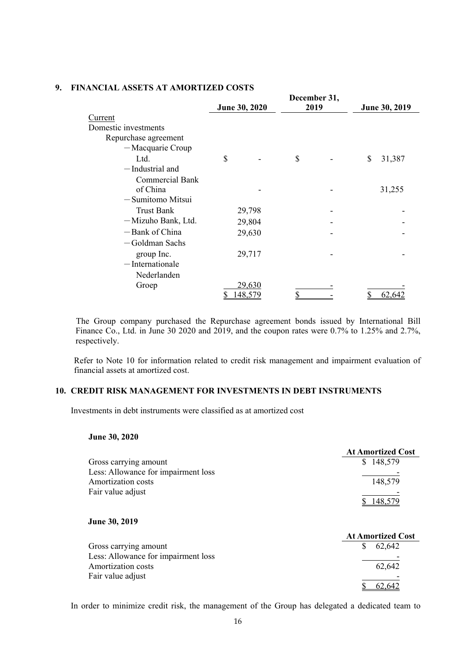|                        | December 31,  |        |      |  |    |               |
|------------------------|---------------|--------|------|--|----|---------------|
|                        | June 30, 2020 |        | 2019 |  |    | June 30, 2019 |
| Current                |               |        |      |  |    |               |
| Domestic investments   |               |        |      |  |    |               |
| Repurchase agreement   |               |        |      |  |    |               |
| -Macquarie Croup       |               |        |      |  |    |               |
| Ltd.                   | \$            |        | \$   |  | \$ | 31,387        |
| -Industrial and        |               |        |      |  |    |               |
| <b>Commercial Bank</b> |               |        |      |  |    |               |
| of China               |               |        |      |  |    | 31,255        |
| $-$ Sumitomo Mitsui    |               |        |      |  |    |               |
| <b>Trust Bank</b>      |               | 29,798 |      |  |    |               |
| -Mizuho Bank, Ltd.     |               | 29,804 |      |  |    |               |
| -Bank of China         |               | 29,630 |      |  |    |               |
| — Goldman Sachs        |               |        |      |  |    |               |
| group Inc.             |               | 29,717 |      |  |    |               |
| $-$ Internationale     |               |        |      |  |    |               |
| Nederlanden            |               |        |      |  |    |               |
| Groep                  |               | 29,630 |      |  |    |               |
|                        |               | 48,579 |      |  |    | 62.642        |
|                        |               |        |      |  |    |               |

#### **9. FINANCIAL ASSETS AT AMORTIZED COSTS**

 The Group company purchased the Repurchase agreement bonds issued by International Bill Finance Co., Ltd. in June 30 2020 and 2019, and the coupon rates were 0.7% to 1.25% and 2.7%, respectively.

Refer to Note 10 for information related to credit risk management and impairment evaluation of financial assets at amortized cost.

#### **10. CREDIT RISK MANAGEMENT FOR INVESTMENTS IN DEBT INSTRUMENTS**

Investments in debt instruments were classified as at amortized cost

#### **June 30, 2020**

|                                     | <b>At Amortized Cost</b> |
|-------------------------------------|--------------------------|
| Gross carrying amount               | \$148,579                |
| Less: Allowance for impairment loss |                          |
| Amortization costs                  | 148,579                  |
| Fair value adjust                   |                          |
|                                     | 148,579                  |
| June 30, 2019                       | <b>At Amortized Cost</b> |
| Gross carrying amount               | \$<br>62,642             |
| Less: Allowance for impairment loss |                          |
| Amortization costs                  | 62,642                   |
| Fair value adjust                   |                          |
|                                     |                          |

In order to minimize credit risk, the management of the Group has delegated a dedicated team to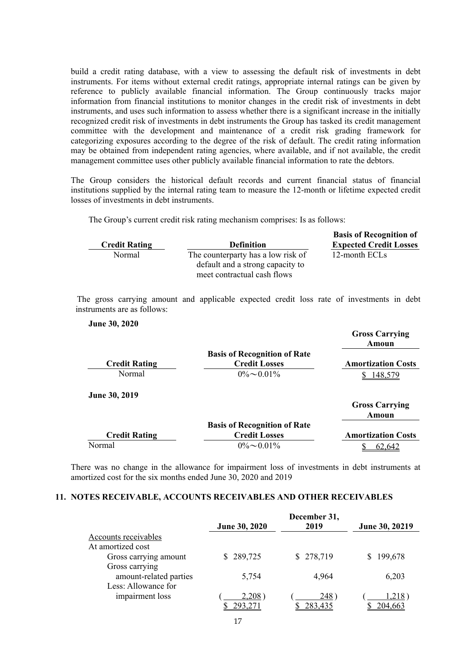build a credit rating database, with a view to assessing the default risk of investments in debt instruments. For items without external credit ratings, appropriate internal ratings can be given by reference to publicly available financial information. The Group continuously tracks major information from financial institutions to monitor changes in the credit risk of investments in debt instruments, and uses such information to assess whether there is a significant increase in the initially recognized credit risk of investments in debt instruments the Group has tasked its credit management committee with the development and maintenance of a credit risk grading framework for categorizing exposures according to the degree of the risk of default. The credit rating information may be obtained from independent rating agencies, where available, and if not available, the credit management committee uses other publicly available financial information to rate the debtors.

The Group considers the historical default records and current financial status of financial institutions supplied by the internal rating team to measure the 12-month or lifetime expected credit losses of investments in debt instruments.

The Group's current credit risk rating mechanism comprises: Is as follows:

|                      |                                                                                                       | <b>Basis of Recognition of</b> |
|----------------------|-------------------------------------------------------------------------------------------------------|--------------------------------|
| <b>Credit Rating</b> | <b>Definition</b>                                                                                     | <b>Expected Credit Losses</b>  |
| Normal               | The counterparty has a low risk of<br>default and a strong capacity to<br>meet contractual cash flows | 12-month ECLs                  |

 The gross carrying amount and applicable expected credit loss rate of investments in debt instruments are as follows:

#### **June 30, 2020**

|                      |                                     | <b>Gross Carrying</b><br>Amoun |
|----------------------|-------------------------------------|--------------------------------|
|                      | <b>Basis of Recognition of Rate</b> |                                |
| <b>Credit Rating</b> | <b>Credit Losses</b>                | <b>Amortization Costs</b>      |
| Normal               | $0\% \sim 0.01\%$                   | 148,579                        |
| June 30, 2019        |                                     |                                |
|                      |                                     | <b>Gross Carrying</b>          |
|                      |                                     | Amoun                          |
|                      | <b>Basis of Recognition of Rate</b> |                                |
| <b>Credit Rating</b> | <b>Credit Losses</b>                | <b>Amortization Costs</b>      |
| Normal               | $0\% \sim 0.01\%$                   | 62.642                         |

There was no change in the allowance for impairment loss of investments in debt instruments at amortized cost for the six months ended June 30, 2020 and 2019

#### **11. NOTES RECEIVABLE, ACCOUNTS RECEIVABLES AND OTHER RECEIVABLES**

|                        |                      | December 31, |                |  |
|------------------------|----------------------|--------------|----------------|--|
|                        | <b>June 30, 2020</b> | 2019         | June 30, 20219 |  |
| Accounts receivables   |                      |              |                |  |
| At amortized cost      |                      |              |                |  |
| Gross carrying amount  | 289,725              | \$278,719    | 199,678        |  |
| Gross carrying         |                      |              |                |  |
| amount-related parties | 5,754                | 4,964        | 6,203          |  |
| Less: Allowance for    |                      |              |                |  |
| impairment loss        | $2,208$ )            | <b>248</b>   | ( 218. ا       |  |
|                        | 293,271              | 283,435      | 204.663        |  |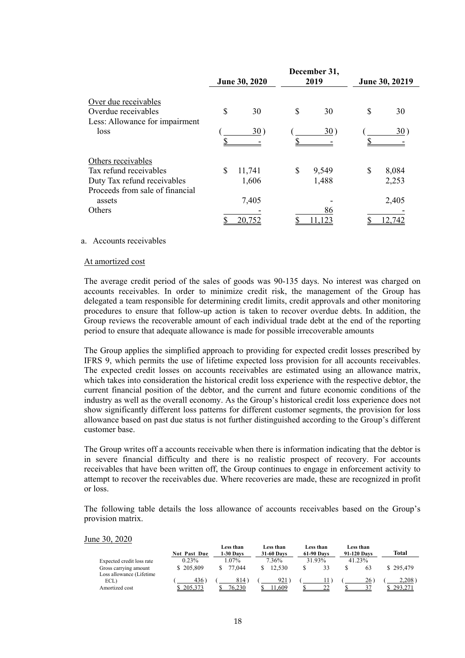|                                             | June 30, 2020 |        |    | December 31,<br>2019 | June 30, 20219 |              |  |
|---------------------------------------------|---------------|--------|----|----------------------|----------------|--------------|--|
| Over due receivables<br>Overdue receivables | \$            | 30     | S  | 30                   | \$             | 30           |  |
| Less: Allowance for impairment              |               |        |    |                      |                |              |  |
| loss                                        |               | 30)    |    | 30)                  |                | $30^{\circ}$ |  |
| Others receivables                          |               |        |    |                      |                |              |  |
| Tax refund receivables                      | \$            | 11,741 | \$ | 9,549                | \$             | 8,084        |  |
| Duty Tax refund receivables                 |               | 1,606  |    | 1,488                |                | 2,253        |  |
| Proceeds from sale of financial             |               |        |    |                      |                |              |  |
| assets                                      |               | 7,405  |    |                      |                | 2,405        |  |
| Others                                      |               |        |    | 86                   |                |              |  |
|                                             |               | 20,752 |    | 1.123                |                | 12.742       |  |

#### a. Accounts receivables

#### At amortized cost

The average credit period of the sales of goods was 90-135 days. No interest was charged on accounts receivables. In order to minimize credit risk, the management of the Group has delegated a team responsible for determining credit limits, credit approvals and other monitoring procedures to ensure that follow-up action is taken to recover overdue debts. In addition, the Group reviews the recoverable amount of each individual trade debt at the end of the reporting period to ensure that adequate allowance is made for possible irrecoverable amounts

The Group applies the simplified approach to providing for expected credit losses prescribed by IFRS 9, which permits the use of lifetime expected loss provision for all accounts receivables. The expected credit losses on accounts receivables are estimated using an allowance matrix, which takes into consideration the historical credit loss experience with the respective debtor, the current financial position of the debtor, and the current and future economic conditions of the industry as well as the overall economy. As the Group's historical credit loss experience does not show significantly different loss patterns for different customer segments, the provision for loss allowance based on past due status is not further distinguished according to the Group's different customer base.

The Group writes off a accounts receivable when there is information indicating that the debtor is in severe financial difficulty and there is no realistic prospect of recovery. For accounts receivables that have been written off, the Group continues to engage in enforcement activity to attempt to recover the receivables due. Where recoveries are made, these are recognized in profit or loss.

The following table details the loss allowance of accounts receivables based on the Group's provision matrix.

#### June 30, 2020

|                                                   | <b>Not Past Due</b> | Less than<br>$1-30$ Davs | Less than<br><b>31-60 Days</b> | Less than<br><b>61-90 Days</b> | Less than<br>91-120 Davs | Total     |
|---------------------------------------------------|---------------------|--------------------------|--------------------------------|--------------------------------|--------------------------|-----------|
| Expected credit loss rate                         | 0.23%               | $.07\%$                  | 7.36%                          | 31.93%                         | 41.23%                   |           |
| Gross carrying amount<br>Loss allowance (Lifetime | \$205,809           | 77,044                   | 12.530                         | 33<br>S                        | 63                       | \$295,479 |
| ECL)                                              | 436                 | 814                      | 921                            |                                | 26                       | 2,208     |
| Amortized cost                                    |                     | 76.230                   | .609                           |                                |                          |           |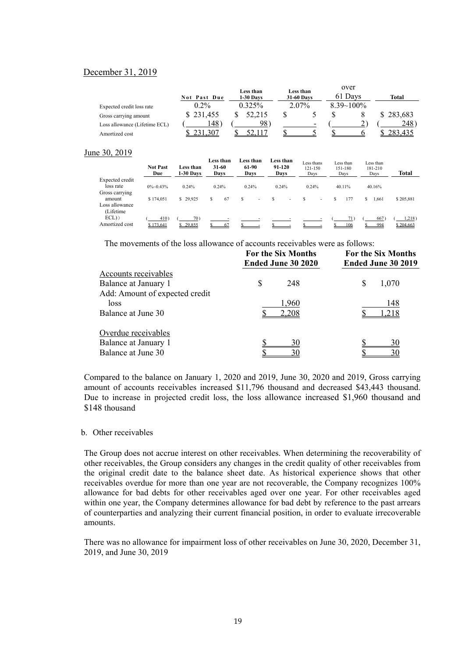#### December 31, 2019

|                               | Not Past Due | Less than<br><b>1-30 Days</b> | Less than<br>31-60 Days | over<br>61 Davs | Total   |
|-------------------------------|--------------|-------------------------------|-------------------------|-----------------|---------|
| Expected credit loss rate     | $0.2\%$      | 0.325%                        | 2.07%                   | $8.39 - 100\%$  |         |
| Gross carrying amount         | \$231,455    | 52,215                        |                         |                 | 283,683 |
| Loss allowance (Lifetime ECL) | !48          | 98.                           | -                       |                 | 248`    |
| Amortized cost                |              |                               |                         |                 |         |

#### June 30, 2019

|                                            | <b>Not Past</b><br>Due | Less than<br>$1-30$ Davs | Less than<br>31-60<br>Days |    | Less than<br>61-90<br>Davs    |              | Less than<br>91-120<br>Davs | Less thans<br>121-150<br>Days |                          |   | Less than<br>151-180<br>Days |   | Less than<br>181-210<br>Days | Total               |
|--------------------------------------------|------------------------|--------------------------|----------------------------|----|-------------------------------|--------------|-----------------------------|-------------------------------|--------------------------|---|------------------------------|---|------------------------------|---------------------|
| Expected credit<br>loss rate               | $0\%$ ~0.43%           | 0.24%                    | 0.24%                      |    | 0.24%                         |              | 0.24%                       | 0.24%                         |                          |   | 40.11%                       |   | 40.16%                       |                     |
| Gross carrying<br>amount<br>Loss allowance | \$174,051              | \$29,925                 | s                          | 67 | s<br>$\overline{\phantom{a}}$ | <sup>S</sup> | $\overline{\phantom{a}}$    | S                             | $\overline{\phantom{a}}$ | S | 177                          | s | 1.661                        | \$205,881           |
| (Lifetime)<br>$ECL)$ )<br>Amortized cost   | 410)<br>\$173,641      | 70)<br>\$29,855          |                            | 67 |                               |              |                             |                               |                          |   | 106                          |   | 667<br>994                   | 1,218)<br>\$204,663 |

The movements of the loss allowance of accounts receivables were as follows:

|                                | <b>For the Six Months</b><br><b>Ended June 30 2020</b> | <b>For the Six Months</b><br>Ended June 30 2019 |  |  |
|--------------------------------|--------------------------------------------------------|-------------------------------------------------|--|--|
| Accounts receivables           |                                                        |                                                 |  |  |
| Balance at January 1           | S<br>248                                               | \$<br>1,070                                     |  |  |
| Add: Amount of expected credit |                                                        |                                                 |  |  |
| loss                           | 1,960                                                  | 148                                             |  |  |
| Balance at June 30             | 2,208                                                  | l,218                                           |  |  |
| Overdue receivables            |                                                        |                                                 |  |  |
| Balance at January 1           | 30                                                     | 30                                              |  |  |
| Balance at June 30             | 30                                                     | 30                                              |  |  |

Compared to the balance on January 1, 2020 and 2019, June 30, 2020 and 2019, Gross carrying amount of accounts receivables increased \$11,796 thousand and decreased \$43,443 thousand. Due to increase in projected credit loss, the loss allowance increased \$1,960 thousand and \$148 thousand

#### b. Other receivables

The Group does not accrue interest on other receivables. When determining the recoverability of other receivables, the Group considers any changes in the credit quality of other receivables from the original credit date to the balance sheet date. As historical experience shows that other receivables overdue for more than one year are not recoverable, the Company recognizes 100% allowance for bad debts for other receivables aged over one year. For other receivables aged within one year, the Company determines allowance for bad debt by reference to the past arrears of counterparties and analyzing their current financial position, in order to evaluate irrecoverable amounts.

There was no allowance for impairment loss of other receivables on June 30, 2020, December 31, 2019, and June 30, 2019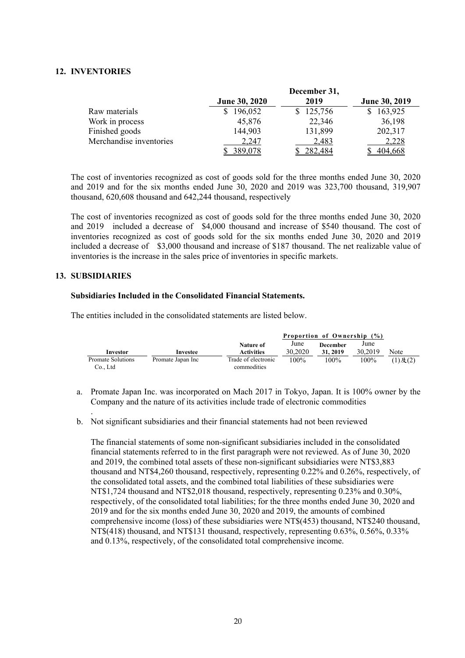#### **12. INVENTORIES**

|                         |                      | December 31, |               |
|-------------------------|----------------------|--------------|---------------|
|                         | <b>June 30, 2020</b> | 2019         | June 30, 2019 |
| Raw materials           | 196,052              | \$125,756    | 163,925       |
| Work in process         | 45,876               | 22,346       | 36,198        |
| Finished goods          | 144,903              | 131,899      | 202,317       |
| Merchandise inventories | 2,247                | 2,483        | 2,228         |
|                         | 389,078              | 282,484      | 404,668       |

The cost of inventories recognized as cost of goods sold for the three months ended June 30, 2020 and 2019 and for the six months ended June 30, 2020 and 2019 was 323,700 thousand, 319,907 thousand, 620,608 thousand and 642,244 thousand, respectively

The cost of inventories recognized as cost of goods sold for the three months ended June 30, 2020 and 2019 included a decrease of \$4,000 thousand and increase of \$540 thousand. The cost of inventories recognized as cost of goods sold for the six months ended June 30, 2020 and 2019 included a decrease of \$3,000 thousand and increase of \$187 thousand. The net realizable value of inventories is the increase in the sales price of inventories in specific markets.

#### **13. SUBSIDIARIES**

.

#### **Subsidiaries Included in the Consolidated Financial Statements.**

The entities included in the consolidated statements are listed below.

|                                    |                   |                                    | Proportion of Ownership |                             |                 |               |
|------------------------------------|-------------------|------------------------------------|-------------------------|-----------------------------|-----------------|---------------|
| Investor                           | Investee          | Nature of<br><b>Activities</b>     | June<br>30,2020         | <b>December</b><br>31, 2019 | June<br>30,2019 | Note          |
| <b>Promate Solutions</b><br>Co Ltd | Promate Japan Inc | Trade of electronic<br>commodities | 100%                    | 100%                        | 100%            | $(1)$ 及 $(2)$ |

- a. Promate Japan Inc. was incorporated on Mach 2017 in Tokyo, Japan. It is 100% owner by the Company and the nature of its activities include trade of electronic commodities
- b. Not significant subsidiaries and their financial statements had not been reviewed

The financial statements of some non-significant subsidiaries included in the consolidated financial statements referred to in the first paragraph were not reviewed. As of June 30, 2020 and 2019, the combined total assets of these non-significant subsidiaries were NT\$3,883 thousand and NT\$4,260 thousand, respectively, representing 0.22% and 0.26%, respectively, of the consolidated total assets, and the combined total liabilities of these subsidiaries were NT\$1,724 thousand and NT\$2,018 thousand, respectively, representing 0.23% and 0.30%, respectively, of the consolidated total liabilities; for the three months ended June 30, 2020 and 2019 and for the six months ended June 30, 2020 and 2019, the amounts of combined comprehensive income (loss) of these subsidiaries were NT\$(453) thousand, NT\$240 thousand, NT\$(418) thousand, and NT\$131 thousand, respectively, representing 0.63%, 0.56%, 0.33% and 0.13%, respectively, of the consolidated total comprehensive income.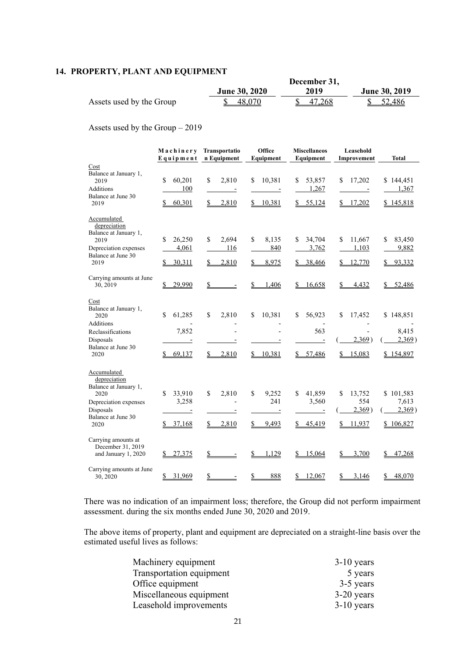### **14. PROPERTY, PLANT AND EQUIPMENT**

|                          |                      | December 31, |                      |
|--------------------------|----------------------|--------------|----------------------|
|                          | <b>June 30, 2020</b> | 2019         | <b>June 30, 2019</b> |
| Assets used by the Group | 48,070               | 47.268       | 52,486               |

Assets used by the Group – 2019

|                                                                                                                                                 | Machinery<br>Equipment                 | Transportatio<br>n Equipment                           | Office<br>Equipment                               | <b>Miscellaneos</b><br>Equipment                        | Leasehold<br>Improvement                      | <b>Total</b>                              |
|-------------------------------------------------------------------------------------------------------------------------------------------------|----------------------------------------|--------------------------------------------------------|---------------------------------------------------|---------------------------------------------------------|-----------------------------------------------|-------------------------------------------|
| Cost<br>Balance at January 1,<br>2019<br>Additions<br>Balance at June 30<br>2019                                                                | \$<br>60,201<br>100<br>60,301<br>S     | \$<br>2,810<br>$\overline{\phantom{a}}$<br>2,810<br>\$ | 10,381<br>\$<br>$\sim$<br>\$10,381                | \$<br>53,857<br>1,267<br>\$55,124                       | 17,202<br>\$<br>$\sim$<br>\$17,202            | \$144,451<br>1,367<br>\$145,818           |
| Accumulated<br>depreciation<br>Balance at January 1,<br>2019<br>Depreciation expenses<br>Balance at June 30<br>2019<br>Carrying amounts at June | \$<br>26,250<br>4,061<br>30,311        | \$<br>2.694<br>116<br>2,810<br>$\mathbb{S}$            | \$<br>8,135<br>840<br>8,975<br>\$                 | 34,704<br>\$<br>3,762<br>38,466                         | 11,667<br>\$<br>1,103<br>12,770               | 83,450<br>\$<br>9,882<br>93,332           |
| 30, 2019<br>Cost<br>Balance at January 1,<br>2020                                                                                               | 29,990<br>$\mathbf{\hat{S}}$<br>61,285 | \$<br>$\overline{a}$<br>\$<br>2,810                    | \$<br>1,406<br>\$<br>10,381                       | 16,658<br>S.<br>\$<br>56,923                            | \$<br>4,432<br>\$<br>17,452                   | 52,486<br>S.<br>\$148,851                 |
| Additions<br>Reclassifications<br>Disposals<br>Balance at June 30<br>2020                                                                       | 7,852<br>\$69,137                      | \$2,810                                                | \$10,381                                          | 563<br>\$57,486                                         | 2,369)<br>15,083<br>\$                        | 8,415<br>2,369)<br>\$154,897              |
| Accumulated<br>depreciation<br>Balance at January 1,<br>2020<br>Depreciation expenses<br>Disposals<br>Balance at June 30<br>2020                | \$<br>33,910<br>3,258<br>\$37,168      | \$<br>2,810<br>2,810<br>S.                             | \$<br>9,252<br>241<br>Ξ<br>$\mathcal{S}$<br>9,493 | 41,859<br>\$<br>3,560<br>$\overline{a}$<br>45,419<br>S. | 13,752<br>\$<br>554<br>2,369)<br>11,937<br>\$ | \$101,583<br>7,613<br>2,369)<br>\$106,827 |
| Carrying amounts at<br>December 31, 2019<br>and January 1, 2020                                                                                 | 27,375<br>\$                           | $\frac{1}{2}$                                          | $\mathbf{\mathcal{S}}$<br>1,129                   | \$<br>15,064                                            | 3,700<br>\$                                   | \$<br>47,268                              |
| Carrying amounts at June<br>30, 2020                                                                                                            | 31,969<br>$\mathbb{S}$                 | \$                                                     | 888<br>\$                                         | \$<br>12,067                                            | \$<br>3,146                                   | 48,070<br>$\mathbb{S}^-$                  |

There was no indication of an impairment loss; therefore, the Group did not perform impairment assessment. during the six months ended June 30, 2020 and 2019.

The above items of property, plant and equipment are depreciated on a straight-line basis over the estimated useful lives as follows:

| Machinery equipment      | $3-10$ years |
|--------------------------|--------------|
| Transportation equipment | 5 years      |
| Office equipment         | 3-5 years    |
| Miscellaneous equipment  | $3-20$ years |
| Leasehold improvements   | $3-10$ years |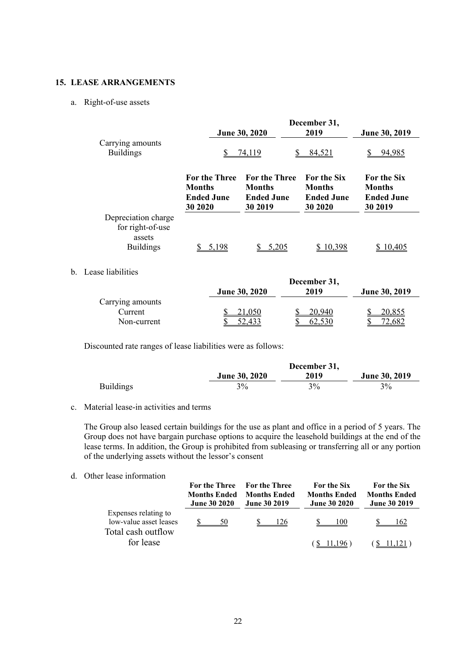#### **15. LEASE ARRANGEMENTS**

#### a. Right-of-use assets

|                                                                       |                                                                        | June 30, 2020                                                         | December 31,<br>2019                                                 | June 30, 2019                                                       |
|-----------------------------------------------------------------------|------------------------------------------------------------------------|-----------------------------------------------------------------------|----------------------------------------------------------------------|---------------------------------------------------------------------|
| Carrying amounts<br><b>Buildings</b>                                  | S                                                                      | S<br><u>74,119</u>                                                    | 84,521                                                               | 94,985                                                              |
|                                                                       | <b>For the Three</b><br><b>Months</b><br><b>Ended June</b><br>30 20 20 | <b>For the Three</b><br><b>Months</b><br><b>Ended June</b><br>30 2019 | <b>For the Six</b><br><b>Months</b><br><b>Ended June</b><br>30 20 20 | <b>For the Six</b><br><b>Months</b><br><b>Ended June</b><br>30 2019 |
| Depreciation charge<br>for right-of-use<br>assets<br><b>Buildings</b> | 5,198                                                                  | 5,205                                                                 | 10,398                                                               | 10,405                                                              |

### b. Lease liabilities

|                  | December 31,         |        |               |  |  |
|------------------|----------------------|--------|---------------|--|--|
|                  | <b>June 30, 2020</b> | 2019   | June 30, 2019 |  |  |
| Carrying amounts |                      |        |               |  |  |
| Current          | <u>21,050</u>        | 20.940 | <u>20,855</u> |  |  |
| Non-current      |                      | 62.530 |               |  |  |

Discounted rate ranges of lease liabilities were as follows:

|                  |                      | December 31, |               |
|------------------|----------------------|--------------|---------------|
|                  | <b>June 30, 2020</b> | 2019         | June 30, 2019 |
| <b>Buildings</b> | 3%                   | $3\%$        | 3%            |

#### c. Material lease-in activities and terms

The Group also leased certain buildings for the use as plant and office in a period of 5 years. The Group does not have bargain purchase options to acquire the leasehold buildings at the end of the lease terms. In addition, the Group is prohibited from subleasing or transferring all or any portion of the underlying assets without the lessor's consent

#### d. Other lease information

|                                                                      | <b>For the Three</b><br><b>Months Ended</b><br><b>June 30 2020</b> | <b>For the Three</b><br><b>Months Ended</b><br><b>June 30 2019</b> | For the Six<br><b>Months Ended</b><br><b>June 30 2020</b> | For the Six<br><b>Months Ended</b><br><b>June 30 2019</b> |
|----------------------------------------------------------------------|--------------------------------------------------------------------|--------------------------------------------------------------------|-----------------------------------------------------------|-----------------------------------------------------------|
| Expenses relating to<br>low-value asset leases<br>Total cash outflow | 50                                                                 | 126                                                                | 100                                                       | 162                                                       |
| for lease                                                            |                                                                    |                                                                    |                                                           |                                                           |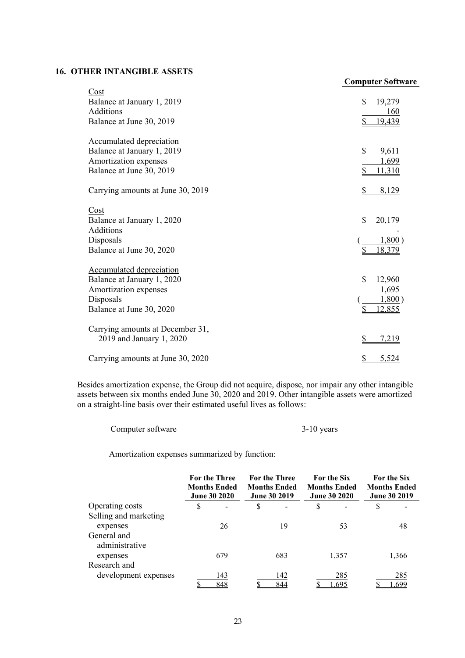#### **16. OTHER INTANGIBLE ASSETS**

|                                   | <b>Computer Software</b> |
|-----------------------------------|--------------------------|
| Cost                              |                          |
| Balance at January 1, 2019        | \$<br>19,279             |
| <b>Additions</b>                  | 160                      |
| Balance at June 30, 2019          | 19,439<br>\$             |
| <b>Accumulated depreciation</b>   |                          |
| Balance at January 1, 2019        | \$<br>9,611              |
| Amortization expenses             | 1,699                    |
| Balance at June 30, 2019          | \$<br>11,310             |
| Carrying amounts at June 30, 2019 | $\mathcal{S}$<br>8,129   |
| Cost                              |                          |
| Balance at January 1, 2020        | \$<br>20,179             |
| <b>Additions</b>                  |                          |
| Disposals                         | 1,800)                   |
| Balance at June 30, 2020          | 18,379                   |
| <b>Accumulated depreciation</b>   |                          |
| Balance at January 1, 2020        | $\mathbf S$<br>12,960    |
| Amortization expenses             | 1,695                    |
| Disposals                         | 1,800)                   |
| Balance at June 30, 2020          | \$<br>12,855             |
| Carrying amounts at December 31,  |                          |
| 2019 and January 1, 2020          | \$<br>7,219              |
| Carrying amounts at June 30, 2020 | S<br>5,524               |

 Besides amortization expense, the Group did not acquire, dispose, nor impair any other intangible assets between six months ended June 30, 2020 and 2019. Other intangible assets were amortized on a straight-line basis over their estimated useful lives as follows:

Computer software 3-10 years

Amortization expenses summarized by function:

|                       | <b>For the Three</b><br><b>For the Three</b><br><b>Months Ended</b><br><b>Months Ended</b><br><b>June 30 2020</b><br><b>June 30 2019</b> |     |    | <b>For the Six</b><br><b>Months Ended</b><br><b>June 30 2020</b> |    | <b>For the Six</b><br><b>Months Ended</b><br><b>June 30 2019</b> |   |       |
|-----------------------|------------------------------------------------------------------------------------------------------------------------------------------|-----|----|------------------------------------------------------------------|----|------------------------------------------------------------------|---|-------|
| Operating costs       | \$                                                                                                                                       |     | \$ |                                                                  | \$ |                                                                  | S |       |
| Selling and marketing |                                                                                                                                          |     |    |                                                                  |    |                                                                  |   |       |
| expenses              |                                                                                                                                          | 26  |    | 19                                                               |    | 53                                                               |   | 48    |
| General and           |                                                                                                                                          |     |    |                                                                  |    |                                                                  |   |       |
| administrative        |                                                                                                                                          |     |    |                                                                  |    |                                                                  |   |       |
| expenses              |                                                                                                                                          | 679 |    | 683                                                              |    | 1,357                                                            |   | 1,366 |
| Research and          |                                                                                                                                          |     |    |                                                                  |    |                                                                  |   |       |
| development expenses  |                                                                                                                                          | 143 |    | 142                                                              |    | 285                                                              |   | 285   |
|                       |                                                                                                                                          | 848 |    | 844                                                              |    | 1.695                                                            |   | l,699 |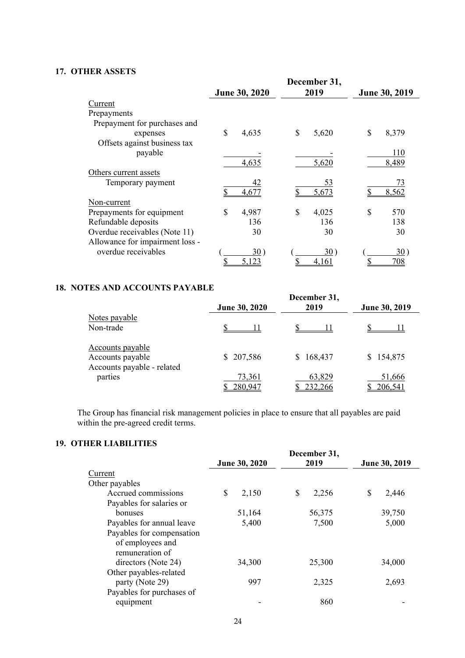#### **17. OTHER ASSETS**

|                                 |               | December 31, |               |
|---------------------------------|---------------|--------------|---------------|
|                                 | June 30, 2020 | 2019         | June 30, 2019 |
| Current                         |               |              |               |
| Prepayments                     |               |              |               |
| Prepayment for purchases and    |               |              |               |
| expenses                        | \$<br>4,635   | \$<br>5,620  | \$<br>8,379   |
| Offsets against business tax    |               |              |               |
| payable                         |               |              | 110           |
|                                 | 4,635         | 5,620        | 8,489         |
| Others current assets           |               |              |               |
| Temporary payment               | 42            | 53           | 73            |
|                                 | 4,677         | 5,673        | 8,562         |
| Non-current                     |               |              |               |
| Prepayments for equipment       | \$<br>4,987   | \$<br>4,025  | \$<br>570     |
| Refundable deposits             | 136           | 136          | 138           |
| Overdue receivables (Note 11)   | 30            | 30           | 30            |
| Allowance for impairment loss - |               |              |               |
| overdue receivables             | 30)           | 30)          | 30)           |
|                                 | 5.123         | 4,161        | 708           |

### **18. NOTES AND ACCOUNTS PAYABLE**

|                                                                    | <b>June 30, 2020</b> | December 31,<br>2019 | June 30, 2019     |
|--------------------------------------------------------------------|----------------------|----------------------|-------------------|
| Notes payable<br>Non-trade                                         |                      |                      |                   |
| Accounts payable<br>Accounts payable<br>Accounts payable - related | 207,586<br>S.        | 168,437<br>S.        | \$154,875         |
| parties                                                            | 73,361<br>280,947    | 63,829<br>232,266    | 51,666<br>206,541 |

 The Group has financial risk management policies in place to ensure that all payables are paid within the pre-agreed credit terms.

### **19. OTHER LIABILITIES**

|                           | June 30, 2020 | December 31,<br>2019 | June 30, 2019 |
|---------------------------|---------------|----------------------|---------------|
| Current                   |               |                      |               |
| Other payables            |               |                      |               |
| Accrued commissions       | S<br>2,150    | S<br>2,256           | \$<br>2,446   |
| Payables for salaries or  |               |                      |               |
| bonuses                   | 51,164        | 56,375               | 39,750        |
| Payables for annual leave | 5,400         | 7,500                | 5,000         |
| Payables for compensation |               |                      |               |
| of employees and          |               |                      |               |
| remuneration of           |               |                      |               |
| directors (Note 24)       | 34,300        | 25,300               | 34,000        |
| Other payables-related    |               |                      |               |
| party (Note 29)           | 997           | 2,325                | 2,693         |
| Payables for purchases of |               |                      |               |
| equipment                 |               | 860                  |               |
|                           |               |                      |               |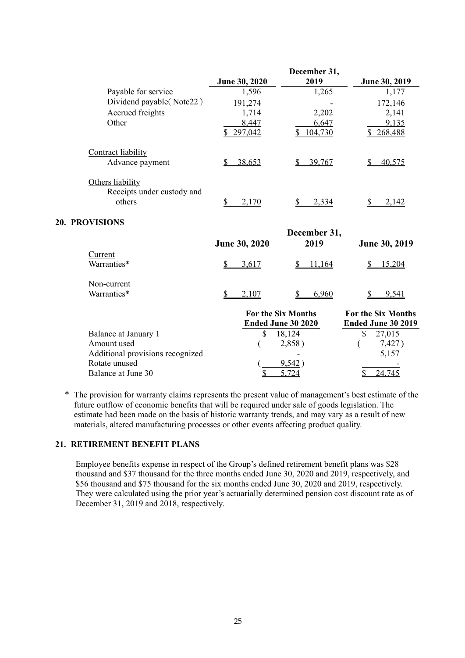|                                                          |                      | December 31, |               |
|----------------------------------------------------------|----------------------|--------------|---------------|
|                                                          | <b>June 30, 2020</b> | 2019         | June 30, 2019 |
| Payable for service                                      | 1,596                | 1,265        | 1,177         |
| Dividend payable (Note22)                                | 191,274              |              | 172,146       |
| Accrued freights                                         | 1,714                | 2,202        | 2,141         |
| Other                                                    | 8,447                | 6,647        | 9,135         |
|                                                          | 297,042              | 104,730      | 268,488       |
| Contract liability<br>Advance payment                    | 38,653               | 39,767       | 40,575        |
| Others liability<br>Receipts under custody and<br>others | 2,170                | 2,334        | 2,142         |

#### **20. PROVISIONS**

|                                                                         | <b>June 30, 2020</b> | December 31,<br>2019                            | <b>June 30, 2019</b>                            |
|-------------------------------------------------------------------------|----------------------|-------------------------------------------------|-------------------------------------------------|
| Current<br>Warranties*                                                  | 3,617                | 11.164                                          | 15.204                                          |
| Non-current<br>Warranties*                                              | 2,107                | 6,960                                           | 9,541                                           |
|                                                                         |                      | <b>For the Six Months</b><br>Ended June 30 2020 | <b>For the Six Months</b><br>Ended June 30 2019 |
| Balance at January 1<br>Amount used<br>Additional provisions recognized | S                    | 18,124<br>2,858)                                | S<br>27,015<br>7,427)<br>5,157                  |
| Rotate unused<br>Balance at June 30                                     |                      | 9,542                                           |                                                 |

\* The provision for warranty claims represents the present value of management's best estimate of the future outflow of economic benefits that will be required under sale of goods legislation. The estimate had been made on the basis of historic warranty trends, and may vary as a result of new materials, altered manufacturing processes or other events affecting product quality.

#### **21. RETIREMENT BENEFIT PLANS**

 Employee benefits expense in respect of the Group's defined retirement benefit plans was \$28 thousand and \$37 thousand for the three months ended June 30, 2020 and 2019, respectively, and \$56 thousand and \$75 thousand for the six months ended June 30, 2020 and 2019, respectively. They were calculated using the prior year's actuarially determined pension cost discount rate as of December 31, 2019 and 2018, respectively.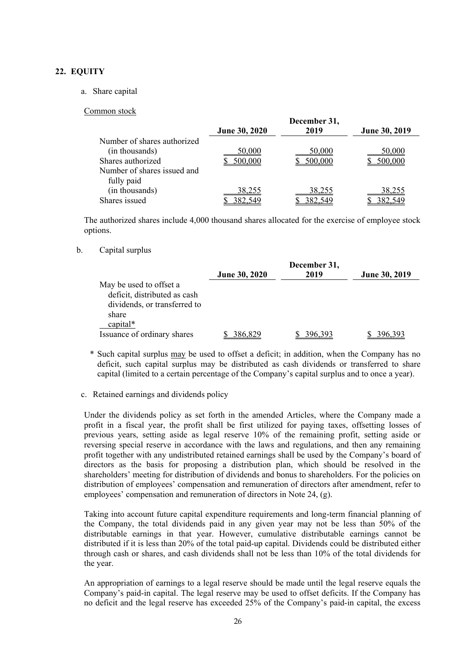#### **22. EQUITY**

#### a. Share capital

#### Common stock

|                             |                      | December 31, |               |
|-----------------------------|----------------------|--------------|---------------|
|                             | <b>June 30, 2020</b> | 2019         | June 30, 2019 |
| Number of shares authorized |                      |              |               |
| (in thousands)              | 50,000               | 50,000       | 50,000        |
| Shares authorized           | 500,000              | 500,000      |               |
| Number of shares issued and |                      |              |               |
| fully paid                  |                      |              |               |
| (in thousands)              | 38,255               | 38,255       | 38,255        |
| Shares issued               |                      |              |               |

The authorized shares include 4,000 thousand shares allocated for the exercise of employee stock options.

#### b. Capital surplus

|                              |                      | December 31, |                      |
|------------------------------|----------------------|--------------|----------------------|
|                              | <b>June 30, 2020</b> | 2019         | <b>June 30, 2019</b> |
| May be used to offset a      |                      |              |                      |
| deficit, distributed as cash |                      |              |                      |
| dividends, or transferred to |                      |              |                      |
| share                        |                      |              |                      |
| capital*                     |                      |              |                      |
| Issuance of ordinary shares  | 386.829              | 396.393      |                      |

 \* Such capital surplus may be used to offset a deficit; in addition, when the Company has no deficit, such capital surplus may be distributed as cash dividends or transferred to share capital (limited to a certain percentage of the Company's capital surplus and to once a year).

#### c. Retained earnings and dividends policy

Under the dividends policy as set forth in the amended Articles, where the Company made a profit in a fiscal year, the profit shall be first utilized for paying taxes, offsetting losses of previous years, setting aside as legal reserve 10% of the remaining profit, setting aside or reversing special reserve in accordance with the laws and regulations, and then any remaining profit together with any undistributed retained earnings shall be used by the Company's board of directors as the basis for proposing a distribution plan, which should be resolved in the shareholders' meeting for distribution of dividends and bonus to shareholders. For the policies on distribution of employees' compensation and remuneration of directors after amendment, refer to employees' compensation and remuneration of directors in Note 24, (g).

Taking into account future capital expenditure requirements and long-term financial planning of the Company, the total dividends paid in any given year may not be less than 50% of the distributable earnings in that year. However, cumulative distributable earnings cannot be distributed if it is less than 20% of the total paid-up capital. Dividends could be distributed either through cash or shares, and cash dividends shall not be less than 10% of the total dividends for the year.

An appropriation of earnings to a legal reserve should be made until the legal reserve equals the Company's paid-in capital. The legal reserve may be used to offset deficits. If the Company has no deficit and the legal reserve has exceeded 25% of the Company's paid-in capital, the excess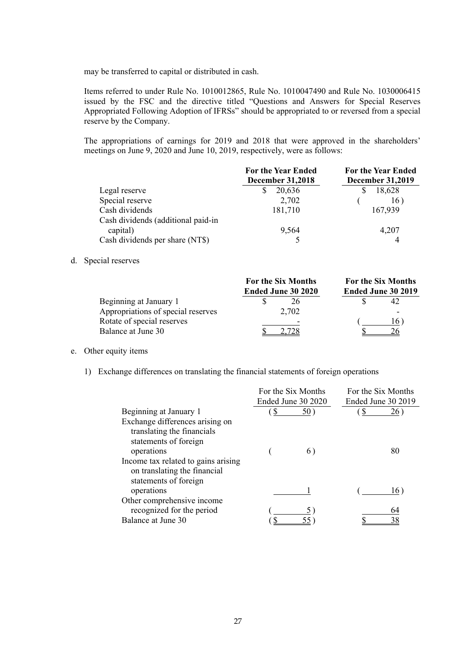may be transferred to capital or distributed in cash.

Items referred to under Rule No. 1010012865, Rule No. 1010047490 and Rule No. 1030006415 issued by the FSC and the directive titled "Questions and Answers for Special Reserves Appropriated Following Adoption of IFRSs" should be appropriated to or reversed from a special reserve by the Company.

The appropriations of earnings for 2019 and 2018 that were approved in the shareholders' meetings on June 9, 2020 and June 10, 2019, respectively, were as follows:

|                                    | <b>For the Year Ended</b><br><b>December 31,2018</b> | <b>For the Year Ended</b><br><b>December 31,2019</b> |
|------------------------------------|------------------------------------------------------|------------------------------------------------------|
| Legal reserve                      | 20,636                                               | 18,628                                               |
| Special reserve                    | 2,702                                                | 16)                                                  |
| Cash dividends                     | 181,710                                              | 167,939                                              |
| Cash dividends (additional paid-in |                                                      |                                                      |
| capital)                           | 9,564                                                | 4,207                                                |
| Cash dividends per share (NT\$)    |                                                      |                                                      |

#### d. Special reserves

|                                    | <b>For the Six Months</b> | <b>For the Six Months</b><br>Ended June 30 2019 |  |
|------------------------------------|---------------------------|-------------------------------------------------|--|
|                                    | Ended June 30 2020        |                                                 |  |
| Beginning at January 1             | 26                        |                                                 |  |
| Appropriations of special reserves | 2,702                     | -                                               |  |
| Rotate of special reserves         | -                         | 16                                              |  |
| Balance at June 30                 |                           |                                                 |  |

#### e. Other equity items

1) Exchange differences on translating the financial statements of foreign operations

|                                     | For the Six Months |                    | For the Six Months |     |
|-------------------------------------|--------------------|--------------------|--------------------|-----|
|                                     |                    | Ended June 30 2020 | Ended June 30 2019 |     |
| Beginning at January 1              | S                  | 50)                | \$                 | 26) |
| Exchange differences arising on     |                    |                    |                    |     |
| translating the financials          |                    |                    |                    |     |
| statements of foreign               |                    |                    |                    |     |
| operations                          |                    | 6)                 |                    | 80  |
| Income tax related to gains arising |                    |                    |                    |     |
| on translating the financial        |                    |                    |                    |     |
| statements of foreign               |                    |                    |                    |     |
| operations                          |                    |                    |                    | 16) |
| Other comprehensive income          |                    |                    |                    |     |
| recognized for the period           |                    |                    |                    | 64  |
| Balance at June 30                  |                    |                    |                    |     |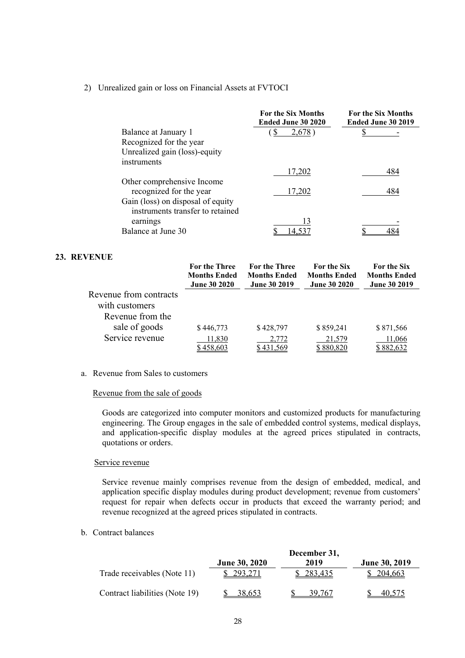#### 2) Unrealized gain or loss on Financial Assets at FVTOCI

|                                   | <b>For the Six Months</b><br>Ended June 30 2020 | <b>For the Six Months</b><br>Ended June 30 2019 |
|-----------------------------------|-------------------------------------------------|-------------------------------------------------|
| Balance at January 1              | \$<br>2,678                                     |                                                 |
| Recognized for the year           |                                                 |                                                 |
| Unrealized gain (loss)-equity     |                                                 |                                                 |
| instruments                       |                                                 |                                                 |
|                                   | 17,202                                          | 484                                             |
| Other comprehensive Income        |                                                 |                                                 |
| recognized for the year           | 17,202                                          | 484                                             |
| Gain (loss) on disposal of equity |                                                 |                                                 |
| instruments transfer to retained  |                                                 |                                                 |
| earnings                          | 13                                              |                                                 |
| Balance at June 30                | 14.53                                           |                                                 |

#### **23. REVENUE**

|                        | <b>For the Three</b><br><b>Months Ended</b><br><b>June 30 2020</b> | <b>For the Three</b><br><b>Months Ended</b><br><b>June 30 2019</b> | <b>For the Six</b><br><b>Months Ended</b><br><b>June 30 2020</b> | <b>For the Six</b><br><b>Months Ended</b><br><b>June 30 2019</b> |
|------------------------|--------------------------------------------------------------------|--------------------------------------------------------------------|------------------------------------------------------------------|------------------------------------------------------------------|
| Revenue from contracts |                                                                    |                                                                    |                                                                  |                                                                  |
| with customers         |                                                                    |                                                                    |                                                                  |                                                                  |
| Revenue from the       |                                                                    |                                                                    |                                                                  |                                                                  |
| sale of goods          | \$446,773                                                          | \$428,797                                                          | \$859,241                                                        | \$871,566                                                        |
| Service revenue        | 11,830<br>\$458,603                                                | 2,772<br>\$431.569                                                 | 21,579<br>\$880,820                                              | 11,066<br>\$882,632                                              |

#### a. Revenue from Sales to customers

#### Revenue from the sale of goods

Goods are categorized into computer monitors and customized products for manufacturing engineering. The Group engages in the sale of embedded control systems, medical displays, and application-specific display modules at the agreed prices stipulated in contracts, quotations or orders.

#### Service revenue

Service revenue mainly comprises revenue from the design of embedded, medical, and application specific display modules during product development; revenue from customers' request for repair when defects occur in products that exceed the warranty period; and revenue recognized at the agreed prices stipulated in contracts.

#### b. Contract balances

|                                | December 31,         |         |                      |  |
|--------------------------------|----------------------|---------|----------------------|--|
|                                | <b>June 30, 2020</b> | 2019    | <b>June 30, 2019</b> |  |
| Trade receivables (Note 11)    | 293,271              | 283,435 | \$204.663            |  |
| Contract liabilities (Note 19) | 38.653               | 39.767  | 40,575               |  |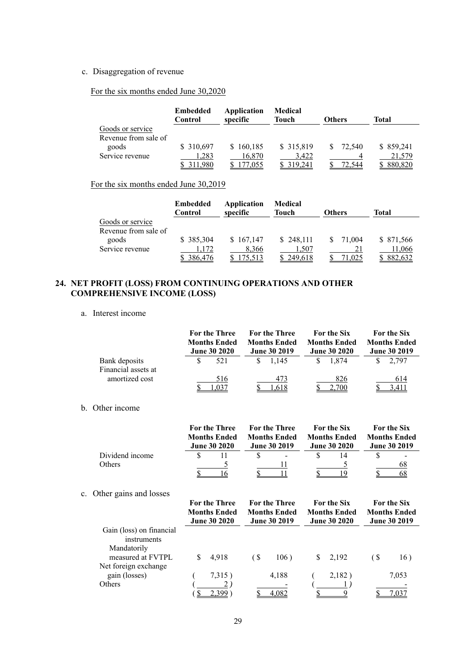#### c. Disaggregation of revenue

For the six months ended June 30,2020

|                      | <b>Embedded</b><br>Control | Application<br>specific | Medical<br>Touch | <b>Others</b> | Total     |
|----------------------|----------------------------|-------------------------|------------------|---------------|-----------|
| Goods or service     |                            |                         |                  |               |           |
| Revenue from sale of |                            |                         |                  |               |           |
| goods                | \$ 310,697                 | \$160,185               | \$ 315,819       | 72,540<br>S.  | \$859,241 |
| Service revenue      | 1,283                      | 16,870                  | 3.422            |               | 21,579    |
|                      |                            | 4.055                   | 319.241          | 72.544        | 880,820   |

### For the six months ended June 30,2019

|                      | <b>Embedded</b><br>Control | Application<br>specific | Medical<br><b>Touch</b> | <b>Others</b> | Total      |
|----------------------|----------------------------|-------------------------|-------------------------|---------------|------------|
| Goods or service     |                            |                         |                         |               |            |
| Revenue from sale of |                            |                         |                         |               |            |
| goods                | \$385,304                  | \$167,147               | \$248,111               | 71,004<br>S.  | \$ 871,566 |
| Service revenue      | 1,172                      | 8,366                   | 1,507                   |               | 11,066     |
|                      | \$ 386,476                 | 175,513                 | 249,618                 | 1,025         | 882,632    |

### **24. NET PROFIT (LOSS) FROM CONTINUING OPERATIONS AND OTHER COMPREHENSIVE INCOME (LOSS)**

a. Interest income

|                                      | For the Three<br><b>Months Ended</b><br><b>June 30 2020</b> | For the Three<br><b>Months Ended</b><br><b>June 30 2019</b> | <b>For the Six</b><br><b>Months Ended</b><br><b>June 30 2020</b> | For the Six<br><b>Months Ended</b><br><b>June 30 2019</b> |
|--------------------------------------|-------------------------------------------------------------|-------------------------------------------------------------|------------------------------------------------------------------|-----------------------------------------------------------|
| Bank deposits<br>Financial assets at | 521                                                         | 1.145                                                       | 1.874                                                            | 2.797                                                     |
| amortized cost                       | 516                                                         | 473<br>1,618                                                | 826<br>2,700                                                     | 614<br>3.411                                              |

#### b. Other income

|                 | <b>For the Three</b><br><b>Months Ended</b><br><b>June 30 2020</b> | <b>For the Three</b><br><b>Months Ended</b><br><b>June 30 2019</b> | <b>For the Six</b><br><b>Months Ended</b><br><b>June 30 2020</b> | For the Six<br><b>Months Ended</b><br><b>June 30 2019</b> |
|-----------------|--------------------------------------------------------------------|--------------------------------------------------------------------|------------------------------------------------------------------|-----------------------------------------------------------|
| Dividend income |                                                                    | $\overline{\phantom{a}}$                                           |                                                                  |                                                           |
| Others          |                                                                    |                                                                    |                                                                  |                                                           |
|                 |                                                                    |                                                                    |                                                                  |                                                           |

#### c. Other gains and losses

|   |        |                                                             |       |                                                                    |        |                                                                  | <b>For the Six</b><br><b>Months Ended</b><br><b>June 30 2019</b> |
|---|--------|-------------------------------------------------------------|-------|--------------------------------------------------------------------|--------|------------------------------------------------------------------|------------------------------------------------------------------|
|   |        |                                                             |       |                                                                    |        |                                                                  |                                                                  |
|   |        |                                                             |       |                                                                    |        |                                                                  |                                                                  |
|   |        |                                                             |       |                                                                    |        |                                                                  |                                                                  |
| S | 4,918  | (\$                                                         | 106)  | S                                                                  | 2.192  | ( S                                                              | 16)                                                              |
|   |        |                                                             |       |                                                                    |        |                                                                  |                                                                  |
|   | 7,315) |                                                             | 4,188 |                                                                    | 2,182) |                                                                  | 7,053                                                            |
|   | າ      |                                                             |       |                                                                    |        |                                                                  |                                                                  |
|   | 2.399  |                                                             | 4,082 |                                                                    |        |                                                                  | 7,031                                                            |
|   |        | For the Three<br><b>Months Ended</b><br><b>June 30 2020</b> |       | <b>For the Three</b><br><b>Months Ended</b><br><b>June 30 2019</b> |        | <b>For the Six</b><br><b>Months Ended</b><br><b>June 30 2020</b> |                                                                  |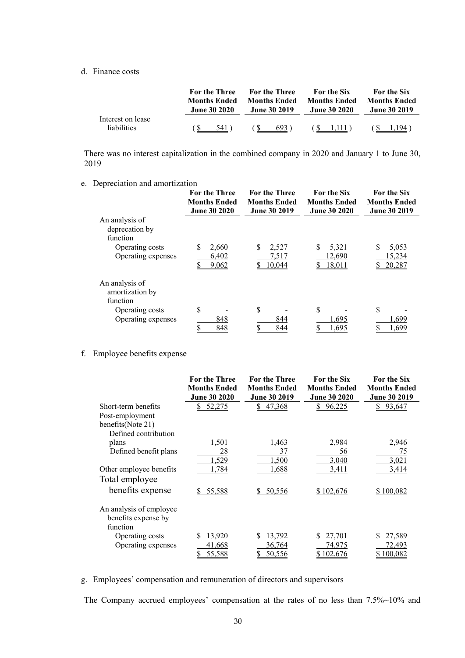#### d. Finance costs

|                                         | <b>For the Three</b> | <b>For the Three</b> | <b>For the Six</b>  | <b>For the Six</b>  |
|-----------------------------------------|----------------------|----------------------|---------------------|---------------------|
|                                         | <b>Months Ended</b>  | <b>Months Ended</b>  | <b>Months Ended</b> | <b>Months Ended</b> |
|                                         | <b>June 30 2020</b>  | <b>June 30 2019</b>  | <b>June 30 2020</b> | <b>June 30 2019</b> |
| Interest on lease<br><i>liabilities</i> | 541)                 | 693)<br>N.           | (S 1.111)           | 1.194               |

There was no interest capitalization in the combined company in 2020 and January 1 to June 30, 2019

e. Depreciation and amortization

|                                                                                       | <b>For the Three</b><br><b>Months Ended</b><br><b>June 30 2020</b> | <b>For the Three</b><br><b>Months Ended</b><br><b>June 30 2019</b> | <b>For the Six</b><br><b>Months Ended</b><br><b>June 30 2020</b> | <b>For the Six</b><br><b>Months Ended</b><br><b>June 30 2019</b> |
|---------------------------------------------------------------------------------------|--------------------------------------------------------------------|--------------------------------------------------------------------|------------------------------------------------------------------|------------------------------------------------------------------|
| An analysis of<br>deprecation by<br>function<br>Operating costs<br>Operating expenses | 2,660<br>S<br>6,402<br>9,062                                       | \$<br>2,527<br>7,517<br>10,044                                     | S<br>5,321<br>12,690<br>18,011                                   | S<br>5,053<br>15,234<br>20,287                                   |
| An analysis of<br>amortization by<br>function                                         |                                                                    |                                                                    |                                                                  |                                                                  |
| Operating costs<br>Operating expenses                                                 | S<br>848<br>848                                                    | S<br>844<br>844                                                    | \$<br>1.695<br>.695                                              | \$<br>1.699<br>.699                                              |

#### f. Employee benefits expense

|                         | For the Three       | <b>For the Three</b> | For the Six         | For the Six         |
|-------------------------|---------------------|----------------------|---------------------|---------------------|
|                         | <b>Months Ended</b> | <b>Months Ended</b>  | <b>Months Ended</b> | <b>Months Ended</b> |
|                         | <b>June 30 2020</b> | June 30 2019         | <b>June 30 2020</b> | June 30 2019        |
| Short-term benefits     | 52,275<br>S         | 47,368<br>S.         | 96,225<br>S.        | 93,647<br>S.        |
| Post-employment         |                     |                      |                     |                     |
| benefits(Note 21)       |                     |                      |                     |                     |
| Defined contribution    |                     |                      |                     |                     |
| plans                   | 1,501               | 1,463                | 2,984               | 2,946               |
| Defined benefit plans   | 28                  | 37                   | 56                  | 75                  |
|                         | 1,529               | 1,500                | 3,040               | 3,021               |
| Other employee benefits | 1,784               | 1,688                | 3,411               | 3,414               |
| Total employee          |                     |                      |                     |                     |
| benefits expense        | 55,588              | 50,556               | \$102,676           | \$100,082           |
| An analysis of employee |                     |                      |                     |                     |
| benefits expense by     |                     |                      |                     |                     |
| function                |                     |                      |                     |                     |
| Operating costs         | 13,920<br>S         | S.<br>13,792         | 27,701<br>S.        | 27,589              |
| Operating expenses      | 41,668              | 36,764               | 74,975              | 72,493              |
|                         | 55,588              | 50,556               | \$102,676           | \$100,082           |

#### g. Employees' compensation and remuneration of directors and supervisors

The Company accrued employees' compensation at the rates of no less than 7.5%~10% and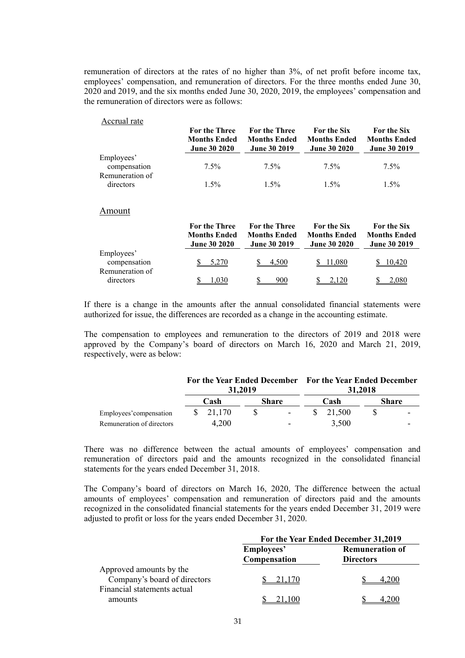remuneration of directors at the rates of no higher than 3%, of net profit before income tax, employees' compensation, and remuneration of directors. For the three months ended June 30, 2020 and 2019, and the six months ended June 30, 2020, 2019, the employees' compensation and the remuneration of directors were as follows:

#### Accrual rate

|                              | <b>For the Three</b><br><b>Months Ended</b><br><b>June 30 2020</b> | <b>For the Three</b><br><b>Months Ended</b><br><b>June 30 2019</b> | For the Six<br><b>Months Ended</b><br><b>June 30 2020</b> | For the Six<br><b>Months Ended</b><br><b>June 30 2019</b> |
|------------------------------|--------------------------------------------------------------------|--------------------------------------------------------------------|-----------------------------------------------------------|-----------------------------------------------------------|
| Employees'<br>compensation   | $7.5\%$                                                            | 7.5%                                                               | 7.5%                                                      | $7.5\%$                                                   |
| Remuneration of<br>directors | $1.5\%$                                                            | $1.5\%$                                                            | $1.5\%$                                                   | $1.5\%$                                                   |

#### Amount

|                                               | <b>For the Three</b><br><b>Months Ended</b><br><b>June 30 2020</b> | <b>For the Three</b><br><b>Months Ended</b><br><b>June 30 2019</b> | <b>For the Six</b><br><b>Months Ended</b><br><b>June 30 2020</b> | For the Six<br><b>Months Ended</b><br><b>June 30 2019</b> |
|-----------------------------------------------|--------------------------------------------------------------------|--------------------------------------------------------------------|------------------------------------------------------------------|-----------------------------------------------------------|
| Employees'<br>compensation<br>Remuneration of | 5,270                                                              | 4.500                                                              | 1.080                                                            | 10,420                                                    |
| directors                                     | .030                                                               | 900                                                                |                                                                  | 2.080                                                     |

If there is a change in the amounts after the annual consolidated financial statements were authorized for issue, the differences are recorded as a change in the accounting estimate.

The compensation to employees and remuneration to the directors of 2019 and 2018 were approved by the Company's board of directors on March 16, 2020 and March 21, 2019, respectively, were as below:

|                           | For the Year Ended December For the Year Ended December<br>31,2019 |                      |  |                          |      | 31,2018                          |              |   |
|---------------------------|--------------------------------------------------------------------|----------------------|--|--------------------------|------|----------------------------------|--------------|---|
|                           |                                                                    | Cash<br><b>Share</b> |  |                          | Cash |                                  | <b>Share</b> |   |
| Employees' compensation   |                                                                    | $\frac{\$}{21,170}$  |  | $\blacksquare$           |      | $\frac{\text{S}}{\text{21.500}}$ |              |   |
| Remuneration of directors |                                                                    | 4.200                |  | $\overline{\phantom{0}}$ |      | 3,500                            |              | - |

There was no difference between the actual amounts of employees' compensation and remuneration of directors paid and the amounts recognized in the consolidated financial statements for the years ended December 31, 2018.

The Company's board of directors on March 16, 2020, The difference between the actual amounts of employees' compensation and remuneration of directors paid and the amounts recognized in the consolidated financial statements for the years ended December 31, 2019 were adjusted to profit or loss for the years ended December 31, 2020.

|                                                                                        | For the Year Ended December 31,2019 |                                            |  |  |
|----------------------------------------------------------------------------------------|-------------------------------------|--------------------------------------------|--|--|
|                                                                                        | Employees'<br>Compensation          | <b>Remuneration of</b><br><b>Directors</b> |  |  |
| Approved amounts by the<br>Company's board of directors<br>Financial statements actual | 21.170                              | .200                                       |  |  |
| amounts                                                                                |                                     |                                            |  |  |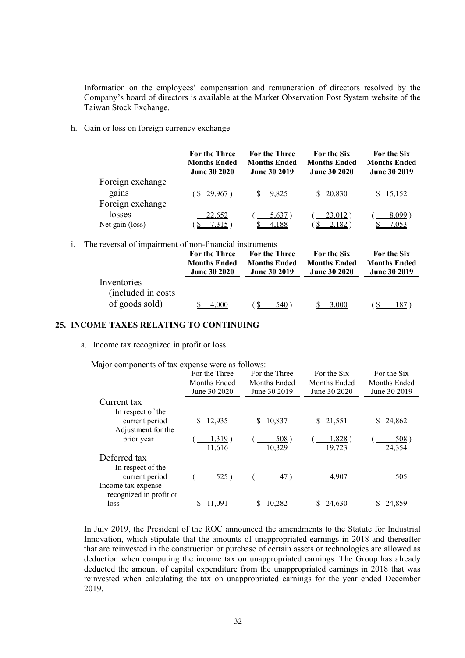Information on the employees' compensation and remuneration of directors resolved by the Company's board of directors is available at the Market Observation Post System website of the Taiwan Stock Exchange.

h. Gain or loss on foreign currency exchange

|                  | <b>For the Three</b><br><b>Months Ended</b><br><b>June 30 2020</b> | <b>For the Three</b><br><b>Months Ended</b><br><b>June 30 2019</b> | <b>For the Six</b><br><b>Months Ended</b><br><b>June 30 2020</b> | For the Six<br><b>Months Ended</b><br><b>June 30 2019</b> |
|------------------|--------------------------------------------------------------------|--------------------------------------------------------------------|------------------------------------------------------------------|-----------------------------------------------------------|
| Foreign exchange |                                                                    |                                                                    |                                                                  |                                                           |
| gains            | (S 29,967)                                                         | 9.825<br>S.                                                        | \$20,830                                                         | \$15,152                                                  |
| Foreign exchange |                                                                    |                                                                    |                                                                  |                                                           |
| losses           | 22,652                                                             | 5,637                                                              | 23,012)                                                          | 8,099                                                     |
| Net gain (loss)  | 7,315                                                              | 4,188                                                              | 2,182                                                            | <u>7,053</u>                                              |

i. The reversal of impairment of non-financial instruments

|                                                      | For the Three       | <b>For the Three</b> | <b>For the Six</b>  | <b>For the Six</b>  |
|------------------------------------------------------|---------------------|----------------------|---------------------|---------------------|
|                                                      | <b>Months Ended</b> | <b>Months Ended</b>  | <b>Months Ended</b> | <b>Months Ended</b> |
|                                                      | <b>June 30 2020</b> | <b>June 30 2019</b>  | <b>June 30 2020</b> | <b>June 30 2019</b> |
| Inventories<br>(included in costs)<br>of goods sold) | 4.000               | 540                  | 3.000               | 187.                |

#### **25. INCOME TAXES RELATING TO CONTINUING**

a. Income tax recognized in profit or loss

Major components of tax expense were as follows:

|                         | For the Three | For the Three | For the Six  | For the Six  |
|-------------------------|---------------|---------------|--------------|--------------|
|                         | Months Ended  | Months Ended  | Months Ended | Months Ended |
|                         | June 30 2020  | June 30 2019  | June 30 2020 | June 30 2019 |
| Current tax             |               |               |              |              |
| In respect of the       |               |               |              |              |
| current period          | 12,935<br>S   | 10,837<br>S   | \$21,551     | 24,862       |
| Adjustment for the      |               |               |              |              |
| prior year              | 1,319)        | 508)          | 1,828)       | 508)         |
|                         | 11,616        | 10,329        | 19,723       | 24,354       |
| Deferred tax            |               |               |              |              |
| In respect of the       |               |               |              |              |
| current period          | 525)          | 47)           | 4,907        | 505          |
| Income tax expense      |               |               |              |              |
| recognized in profit or |               |               |              |              |
| loss                    | 1.091         | 10,282        | 24,630       | 24.859       |

In July 2019, the President of the ROC announced the amendments to the Statute for Industrial Innovation, which stipulate that the amounts of unappropriated earnings in 2018 and thereafter that are reinvested in the construction or purchase of certain assets or technologies are allowed as deduction when computing the income tax on unappropriated earnings. The Group has already deducted the amount of capital expenditure from the unappropriated earnings in 2018 that was reinvested when calculating the tax on unappropriated earnings for the year ended December 2019.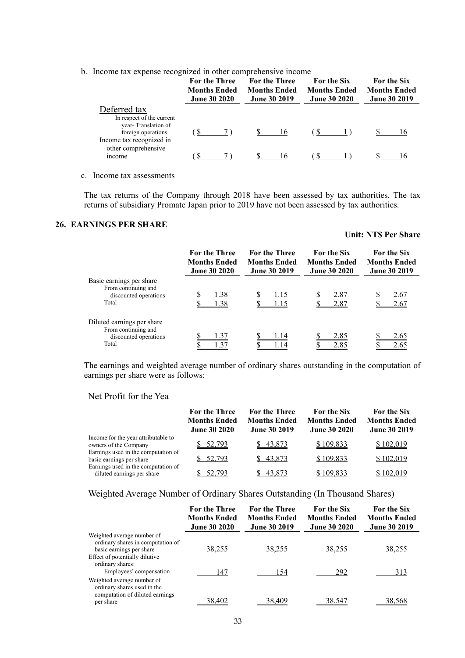b. Income tax expense recognized in other comprehensive income

|                                                                       | <b>For the Three</b><br><b>Months Ended</b><br><b>June 30 2020</b> | <b>For the Three</b><br><b>Months Ended</b><br><b>June 30 2019</b> | <b>For the Six</b><br><b>Months Ended</b><br><b>June 30 2020</b> | <b>For the Six</b><br><b>Months Ended</b><br><b>June 30 2019</b> |
|-----------------------------------------------------------------------|--------------------------------------------------------------------|--------------------------------------------------------------------|------------------------------------------------------------------|------------------------------------------------------------------|
| Deferred tax<br>In respect of the current                             |                                                                    |                                                                    |                                                                  |                                                                  |
| year-Translation of<br>foreign operations<br>Income tax recognized in |                                                                    | 16                                                                 |                                                                  | 16                                                               |
| other comprehensive<br><i>n</i> come                                  |                                                                    | 16                                                                 |                                                                  |                                                                  |

c. Income tax assessments

The tax returns of the Company through 2018 have been assessed by tax authorities. The tax returns of subsidiary Promate Japan prior to 2019 have not been assessed by tax authorities.

#### **26. EARNINGS PER SHARE**

#### **Unit: NT\$ Per Share**

|                                                                                     | For the Three<br><b>Months Ended</b><br><b>June 30 2020</b> | <b>For the Three</b><br><b>Months Ended</b><br><b>June 30 2019</b> | <b>For the Six</b><br><b>Months Ended</b><br><b>June 30 2020</b> | <b>For the Six</b><br><b>Months Ended</b><br><b>June 30 2019</b> |
|-------------------------------------------------------------------------------------|-------------------------------------------------------------|--------------------------------------------------------------------|------------------------------------------------------------------|------------------------------------------------------------------|
| Basic earnings per share<br>From continuing and<br>discounted operations<br>Total   | 1.38<br>1.38                                                | .15<br>.15                                                         | 2.87<br>2.87                                                     | 2.67<br>2.67                                                     |
| Diluted earnings per share<br>From continuing and<br>discounted operations<br>Total | .37<br>l.37                                                 | .14<br>14                                                          | 2.85<br>2.85                                                     | 2.65<br>2.65                                                     |

The earnings and weighted average number of ordinary shares outstanding in the computation of earnings per share were as follows:

#### Net Profit for the Yea

|                                                                   | For the Three<br><b>Months Ended</b><br><b>June 30 2020</b> | <b>For the Three</b><br><b>Months Ended</b><br><b>June 30 2019</b> | <b>For the Six</b><br><b>Months Ended</b><br><b>June 30 2020</b> | <b>For the Six</b><br><b>Months Ended</b><br><b>June 30 2019</b> |
|-------------------------------------------------------------------|-------------------------------------------------------------|--------------------------------------------------------------------|------------------------------------------------------------------|------------------------------------------------------------------|
| Income for the year attributable to<br>owners of the Company      | 52,793                                                      | \$43,873                                                           | \$109,833                                                        | \$102,019                                                        |
| Earnings used in the computation of<br>basic earnings per share   | 52,793                                                      | 43,873                                                             | \$109,833                                                        | \$102,019                                                        |
| Earnings used in the computation of<br>diluted earnings per share | 52.793                                                      | 43,873                                                             | \$109,833                                                        | \$102,019                                                        |

#### Weighted Average Number of Ordinary Shares Outstanding (In Thousand Shares)

|                                                                                                           | <b>For the Three</b><br><b>Months Ended</b><br><b>June 30 2020</b> | <b>For the Three</b><br><b>Months Ended</b><br><b>June 30 2019</b> | <b>For the Six</b><br><b>Months Ended</b><br><b>June 30 2020</b> | <b>For the Six</b><br><b>Months Ended</b><br><b>June 30 2019</b> |
|-----------------------------------------------------------------------------------------------------------|--------------------------------------------------------------------|--------------------------------------------------------------------|------------------------------------------------------------------|------------------------------------------------------------------|
| Weighted average number of<br>ordinary shares in computation of<br>basic earnings per share               | 38,255                                                             | 38,255                                                             | 38,255                                                           | 38,255                                                           |
| Effect of potentially dilutive<br>ordinary shares:<br>Employees' compensation                             | 147                                                                | 154                                                                | 292                                                              | 313                                                              |
| Weighted average number of<br>ordinary shares used in the<br>computation of diluted earnings<br>per share | 38,402                                                             | 38,409                                                             | 38,547                                                           | 38,568                                                           |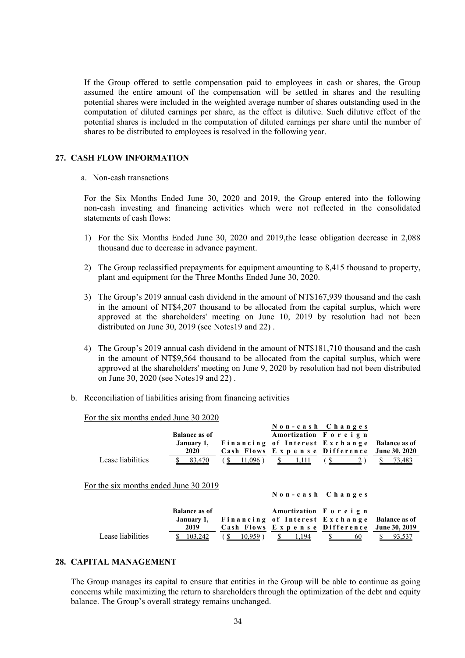If the Group offered to settle compensation paid to employees in cash or shares, the Group assumed the entire amount of the compensation will be settled in shares and the resulting potential shares were included in the weighted average number of shares outstanding used in the computation of diluted earnings per share, as the effect is dilutive. Such dilutive effect of the potential shares is included in the computation of diluted earnings per share until the number of shares to be distributed to employees is resolved in the following year.

#### **27. CASH FLOW INFORMATION**

#### a. Non-cash transactions

For the Six Months Ended June 30, 2020 and 2019, the Group entered into the following non-cash investing and financing activities which were not reflected in the consolidated statements of cash flows:

- 1) For the Six Months Ended June 30, 2020 and 2019,the lease obligation decrease in 2,088 thousand due to decrease in advance payment.
- 2) The Group reclassified prepayments for equipment amounting to 8,415 thousand to property, plant and equipment for the Three Months Ended June 30, 2020.
- 3) The Group's 2019 annual cash dividend in the amount of NT\$167,939 thousand and the cash in the amount of NT\$4,207 thousand to be allocated from the capital surplus, which were approved at the shareholders' meeting on June 10, 2019 by resolution had not been distributed on June 30, 2019 (see Notes19 and 22) .
- 4) The Group's 2019 annual cash dividend in the amount of NT\$181,710 thousand and the cash in the amount of NT\$9,564 thousand to be allocated from the capital surplus, which were approved at the shareholders' meeting on June 9, 2020 by resolution had not been distributed on June 30, 2020 (see Notes19 and 22) .
- b. Reconciliation of liabilities arising from financing activities

For the six months ended June 30 2020

| Lease liabilities<br>For the six months ended June 30 2019 | <b>Balance as of</b><br>January 1,<br>2020<br>83,470  | $11,096$ ) | Non-cash Changes<br>Amortization Foreign<br>Financing of Interest Exchange<br>Cash Flows Expense Difference<br>1.111 |    | <b>Balance as of</b><br>June 30, 2020<br>73,483 |
|------------------------------------------------------------|-------------------------------------------------------|------------|----------------------------------------------------------------------------------------------------------------------|----|-------------------------------------------------|
| Lease liabilities                                          | <b>Balance as of</b><br>January 1,<br>2019<br>103,242 | 10.959     | Non-cash Changes<br>Amortization Foreign<br>Financing of Interest Exchange<br>Cash Flows Expense Difference<br>194   | 60 | <b>Balance as of</b><br><b>June 30, 2019</b>    |

#### **28. CAPITAL MANAGEMENT**

The Group manages its capital to ensure that entities in the Group will be able to continue as going concerns while maximizing the return to shareholders through the optimization of the debt and equity balance. The Group's overall strategy remains unchanged.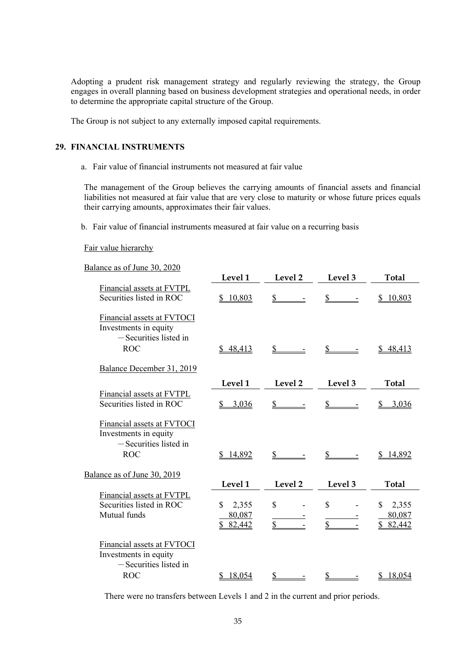Adopting a prudent risk management strategy and regularly reviewing the strategy, the Group engages in overall planning based on business development strategies and operational needs, in order to determine the appropriate capital structure of the Group.

The Group is not subject to any externally imposed capital requirements.

#### **29. FINANCIAL INSTRUMENTS**

a. Fair value of financial instruments not measured at fair value

The management of the Group believes the carrying amounts of financial assets and financial liabilities not measured at fair value that are very close to maturity or whose future prices equals their carrying amounts, approximates their fair values.

b. Fair value of financial instruments measured at fair value on a recurring basis

#### Fair value hierarchy

| Balance as of June 30, 2020                                                                   |                                             |                             |                              |                                  |
|-----------------------------------------------------------------------------------------------|---------------------------------------------|-----------------------------|------------------------------|----------------------------------|
|                                                                                               | Level 1                                     | Level 2                     | Level 3                      | <b>Total</b>                     |
| Financial assets at FVTPL<br>Securities listed in ROC                                         | \$10,803                                    | \$                          |                              | 10,803                           |
| Financial assets at FVTOCI<br>Investments in equity<br>$-$ Securities listed in<br><b>ROC</b> | \$48,413                                    | \$                          | \$                           | 48,413                           |
| Balance December 31, 2019                                                                     |                                             |                             |                              |                                  |
|                                                                                               | Level 1                                     | Level 2                     | Level 3                      | Total                            |
| Financial assets at FVTPL<br>Securities listed in ROC                                         | 3,036<br>\$                                 | $\mathbb{S}$                | \$                           | 3,036                            |
| Financial assets at FVTOCI<br>Investments in equity<br>$-$ Securities listed in<br><b>ROC</b> | \$14,892                                    | S —                         | $\mathbb{S}$                 | <u>14,892</u>                    |
| Balance as of June 30, 2019                                                                   |                                             |                             |                              |                                  |
|                                                                                               | Level 1                                     | Level 2                     | Level 3                      | <b>Total</b>                     |
| Financial assets at FVTPL<br>Securities listed in ROC<br>Mutual funds                         | $\mathbb{S}$<br>2,355<br>80,087<br>\$82,442 | $\mathbf S$<br>$\mathbb{S}$ | $\mathbb{S}$<br>$\mathbb{S}$ | 2,355<br>S<br>80,087<br>\$82,442 |
| Financial assets at FVTOCI<br>Investments in equity<br>$-$ Securities listed in<br><b>ROC</b> | 18,054<br>\$.                               | \$                          | S                            | 18,054                           |
|                                                                                               |                                             |                             |                              |                                  |

There were no transfers between Levels 1 and 2 in the current and prior periods.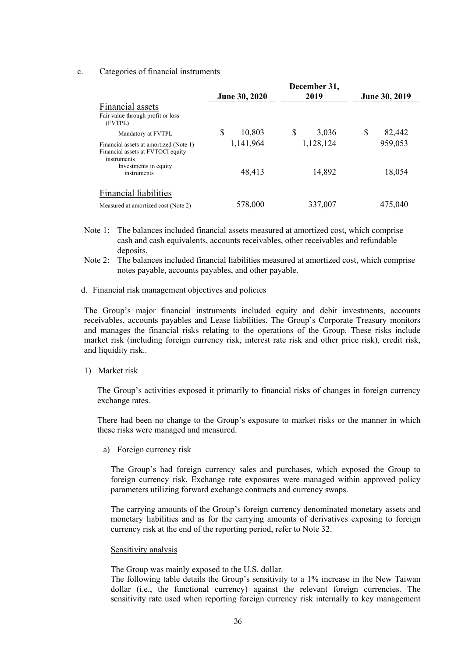#### c. Categories of financial instruments

|                                                                                            | June 30, 2020 | December 31,<br>2019 | June 30, 2019 |
|--------------------------------------------------------------------------------------------|---------------|----------------------|---------------|
| Financial assets<br>Fair value through profit or loss<br>(FVTPL)                           |               |                      |               |
| Mandatory at FVTPL                                                                         | \$<br>10,803  | \$<br>3,036          | S<br>82,442   |
| Financial assets at amortized (Note 1)<br>Financial assets at FVTOCI equity<br>instruments | 1,141,964     | 1,128,124            | 959,053       |
| Investments in equity<br>instruments                                                       | 48,413        | 14,892               | 18,054        |
| <b>Financial liabilities</b>                                                               |               |                      |               |
| Measured at amortized cost (Note 2)                                                        | 578,000       | 337,007              | 475,040       |

- Note 1: The balances included financial assets measured at amortized cost, which comprise cash and cash equivalents, accounts receivables, other receivables and refundable deposits.
- Note 2: The balances included financial liabilities measured at amortized cost, which comprise notes payable, accounts payables, and other payable.
- d. Financial risk management objectives and policies

The Group's major financial instruments included equity and debit investments, accounts receivables, accounts payables and Lease liabilities. The Group's Corporate Treasury monitors and manages the financial risks relating to the operations of the Group. These risks include market risk (including foreign currency risk, interest rate risk and other price risk), credit risk, and liquidity risk..

1) Market risk

The Group's activities exposed it primarily to financial risks of changes in foreign currency exchange rates.

There had been no change to the Group's exposure to market risks or the manner in which these risks were managed and measured.

a) Foreign currency risk

The Group's had foreign currency sales and purchases, which exposed the Group to foreign currency risk. Exchange rate exposures were managed within approved policy parameters utilizing forward exchange contracts and currency swaps.

The carrying amounts of the Group's foreign currency denominated monetary assets and monetary liabilities and as for the carrying amounts of derivatives exposing to foreign currency risk at the end of the reporting period, refer to Note 32.

#### Sensitivity analysis

The Group was mainly exposed to the U.S. dollar.

The following table details the Group's sensitivity to a 1% increase in the New Taiwan dollar (i.e., the functional currency) against the relevant foreign currencies. The sensitivity rate used when reporting foreign currency risk internally to key management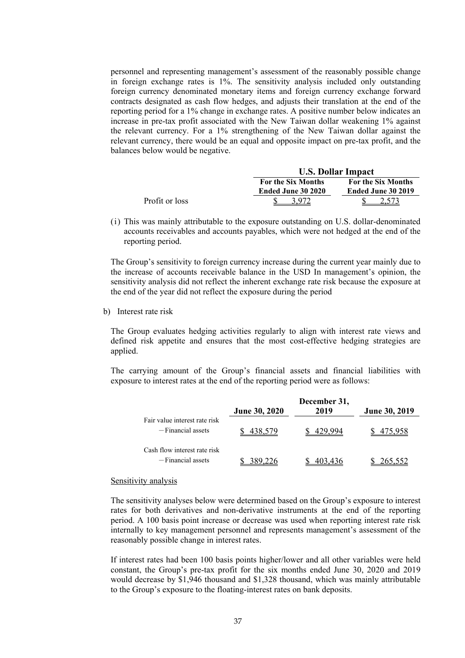personnel and representing management's assessment of the reasonably possible change in foreign exchange rates is 1%. The sensitivity analysis included only outstanding foreign currency denominated monetary items and foreign currency exchange forward contracts designated as cash flow hedges, and adjusts their translation at the end of the reporting period for a 1% change in exchange rates. A positive number below indicates an increase in pre-tax profit associated with the New Taiwan dollar weakening 1% against the relevant currency. For a 1% strengthening of the New Taiwan dollar against the relevant currency, there would be an equal and opposite impact on pre-tax profit, and the balances below would be negative.

|                |                           | <b>U.S. Dollar Impact</b> |  |  |  |
|----------------|---------------------------|---------------------------|--|--|--|
|                | <b>For the Six Months</b> | <b>For the Six Months</b> |  |  |  |
|                | <b>Ended June 30 2020</b> | Ended June 30 2019        |  |  |  |
| Profit or loss |                           |                           |  |  |  |

(i) This was mainly attributable to the exposure outstanding on U.S. dollar-denominated accounts receivables and accounts payables, which were not hedged at the end of the reporting period.

The Group's sensitivity to foreign currency increase during the current year mainly due to the increase of accounts receivable balance in the USD In management's opinion, the sensitivity analysis did not reflect the inherent exchange rate risk because the exposure at the end of the year did not reflect the exposure during the period

b) Interest rate risk

The Group evaluates hedging activities regularly to align with interest rate views and defined risk appetite and ensures that the most cost-effective hedging strategies are applied.

The carrying amount of the Group's financial assets and financial liabilities with exposure to interest rates at the end of the reporting period were as follows:

|                               |                      | December 31, |               |
|-------------------------------|----------------------|--------------|---------------|
|                               | <b>June 30, 2020</b> | 2019         | June 30, 2019 |
| Fair value interest rate risk |                      |              |               |
| $-F$ inancial assets          |                      |              |               |
| Cash flow interest rate risk  |                      |              |               |
| -Financial assets             |                      |              |               |

#### Sensitivity analysis

The sensitivity analyses below were determined based on the Group's exposure to interest rates for both derivatives and non-derivative instruments at the end of the reporting period. A 100 basis point increase or decrease was used when reporting interest rate risk internally to key management personnel and represents management's assessment of the reasonably possible change in interest rates.

If interest rates had been 100 basis points higher/lower and all other variables were held constant, the Group's pre-tax profit for the six months ended June 30, 2020 and 2019 would decrease by \$1,946 thousand and \$1,328 thousand, which was mainly attributable to the Group's exposure to the floating-interest rates on bank deposits.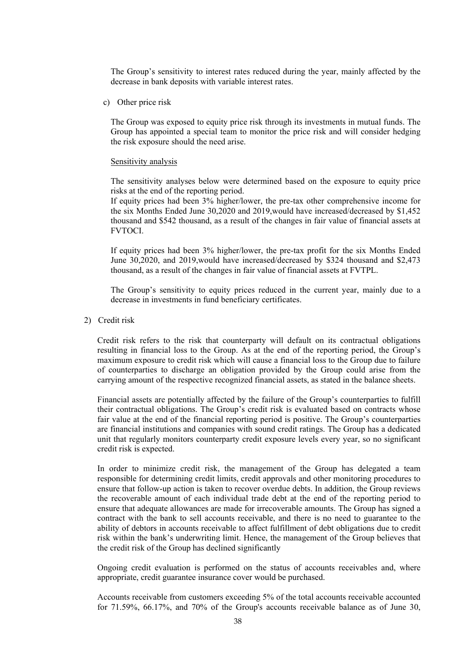The Group's sensitivity to interest rates reduced during the year, mainly affected by the decrease in bank deposits with variable interest rates.

c) Other price risk

The Group was exposed to equity price risk through its investments in mutual funds. The Group has appointed a special team to monitor the price risk and will consider hedging the risk exposure should the need arise.

#### Sensitivity analysis

The sensitivity analyses below were determined based on the exposure to equity price risks at the end of the reporting period.

If equity prices had been 3% higher/lower, the pre-tax other comprehensive income for the six Months Ended June 30,2020 and 2019,would have increased/decreased by \$1,452 thousand and \$542 thousand, as a result of the changes in fair value of financial assets at FVTOCI.

If equity prices had been 3% higher/lower, the pre-tax profit for the six Months Ended June 30,2020, and 2019,would have increased/decreased by \$324 thousand and \$2,473 thousand, as a result of the changes in fair value of financial assets at FVTPL.

The Group's sensitivity to equity prices reduced in the current year, mainly due to a decrease in investments in fund beneficiary certificates.

2) Credit risk

Credit risk refers to the risk that counterparty will default on its contractual obligations resulting in financial loss to the Group. As at the end of the reporting period, the Group's maximum exposure to credit risk which will cause a financial loss to the Group due to failure of counterparties to discharge an obligation provided by the Group could arise from the carrying amount of the respective recognized financial assets, as stated in the balance sheets.

Financial assets are potentially affected by the failure of the Group's counterparties to fulfill their contractual obligations. The Group's credit risk is evaluated based on contracts whose fair value at the end of the financial reporting period is positive. The Group's counterparties are financial institutions and companies with sound credit ratings. The Group has a dedicated unit that regularly monitors counterparty credit exposure levels every year, so no significant credit risk is expected.

In order to minimize credit risk, the management of the Group has delegated a team responsible for determining credit limits, credit approvals and other monitoring procedures to ensure that follow-up action is taken to recover overdue debts. In addition, the Group reviews the recoverable amount of each individual trade debt at the end of the reporting period to ensure that adequate allowances are made for irrecoverable amounts. The Group has signed a contract with the bank to sell accounts receivable, and there is no need to guarantee to the ability of debtors in accounts receivable to affect fulfillment of debt obligations due to credit risk within the bank's underwriting limit. Hence, the management of the Group believes that the credit risk of the Group has declined significantly

Ongoing credit evaluation is performed on the status of accounts receivables and, where appropriate, credit guarantee insurance cover would be purchased.

Accounts receivable from customers exceeding 5% of the total accounts receivable accounted for 71.59%, 66.17%, and 70% of the Group's accounts receivable balance as of June 30,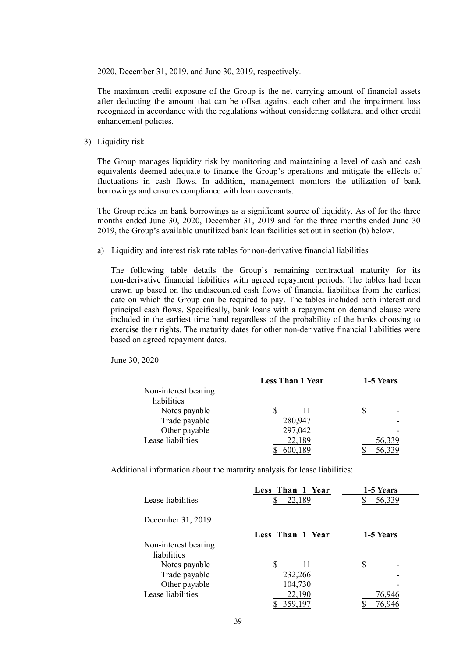2020, December 31, 2019, and June 30, 2019, respectively.

The maximum credit exposure of the Group is the net carrying amount of financial assets after deducting the amount that can be offset against each other and the impairment loss recognized in accordance with the regulations without considering collateral and other credit enhancement policies.

3) Liquidity risk

The Group manages liquidity risk by monitoring and maintaining a level of cash and cash equivalents deemed adequate to finance the Group's operations and mitigate the effects of fluctuations in cash flows. In addition, management monitors the utilization of bank borrowings and ensures compliance with loan covenants.

The Group relies on bank borrowings as a significant source of liquidity. As of for the three months ended June 30, 2020, December 31, 2019 and for the three months ended June 30 2019, the Group's available unutilized bank loan facilities set out in section (b) below.

a) Liquidity and interest risk rate tables for non-derivative financial liabilities

The following table details the Group's remaining contractual maturity for its non-derivative financial liabilities with agreed repayment periods. The tables had been drawn up based on the undiscounted cash flows of financial liabilities from the earliest date on which the Group can be required to pay. The tables included both interest and principal cash flows. Specifically, bank loans with a repayment on demand clause were included in the earliest time band regardless of the probability of the banks choosing to exercise their rights. The maturity dates for other non-derivative financial liabilities were based on agreed repayment dates.

June 30, 2020

|                      | <b>Less Than 1 Year</b> | 1-5 Years |
|----------------------|-------------------------|-----------|
| Non-interest bearing |                         |           |
| liabilities          |                         |           |
| Notes payable        |                         |           |
| Trade payable        | 280,947                 |           |
| Other payable        | 297,042                 |           |
| Lease liabilities    | 22,189                  | 56,339    |
|                      |                         |           |

Additional information about the maturity analysis for lease liabilities:

|                      | Less Than 1 Year | 1-5 Years |
|----------------------|------------------|-----------|
| Lease liabilities    | 22,189           | 56,339    |
| December 31, 2019    |                  |           |
|                      | Less Than 1 Year | 1-5 Years |
| Non-interest bearing |                  |           |
| liabilities          |                  |           |
| Notes payable        | S<br>11          | S         |
| Trade payable        | 232,266          |           |
| Other payable        | 104,730          |           |
| Lease liabilities    | 22,190           | 76,946    |
|                      | 359,197          | 76,946    |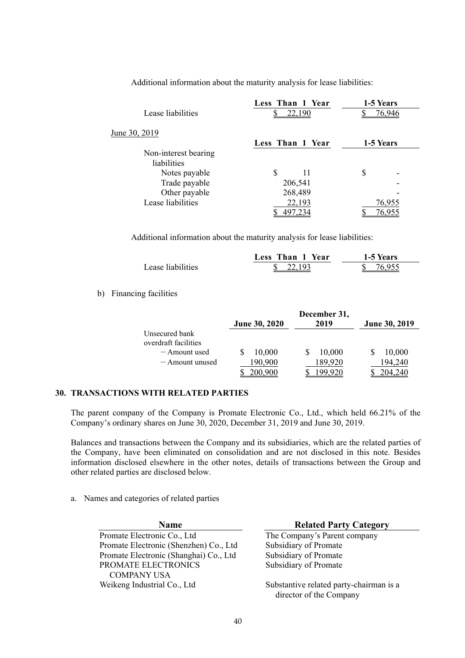|                      | Less Than 1 Year | 1-5 Years |
|----------------------|------------------|-----------|
| Lease liabilities    | 22,190           | 76,946    |
| June 30, 2019        |                  |           |
|                      | Less Than 1 Year | 1-5 Years |
| Non-interest bearing |                  |           |
| liabilities          |                  |           |
| Notes payable        | \$.<br>11        | S         |
| Trade payable        | 206,541          |           |
| Other payable        | 268,489          |           |
| Lease liabilities    | 22,193           | 76,955    |
|                      |                  | 76.955    |

Additional information about the maturity analysis for lease liabilities:

Additional information about the maturity analysis for lease liabilities:

|                   | Less Than 1 Year | 1-5 Years |
|-------------------|------------------|-----------|
| Lease liabilities | 22103            | 76 Q55    |

b) Financing facilities

|                                        | <b>June 30, 2020</b> | December 31,<br>2019 | June 30, 2019 |
|----------------------------------------|----------------------|----------------------|---------------|
| Unsecured bank<br>overdraft facilities |                      |                      |               |
| $-$ Amount used                        | 10,000               | 10,000               | 10,000        |
| — Amount unused                        | 190,900              | 189,920              | 94,240        |
|                                        |                      |                      |               |

#### **30. TRANSACTIONS WITH RELATED PARTIES**

The parent company of the Company is Promate Electronic Co., Ltd., which held 66.21% of the Company's ordinary shares on June 30, 2020, December 31, 2019 and June 30, 2019.

Balances and transactions between the Company and its subsidiaries, which are the related parties of the Company, have been eliminated on consolidation and are not disclosed in this note. Besides information disclosed elsewhere in the other notes, details of transactions between the Group and other related parties are disclosed below.

a. Names and categories of related parties

**Name Related Party Category** 

The Company's Parent company Subsidiary of Promate Subsidiary of Promate Subsidiary of Promate

Substantive related party-chairman is a director of the Company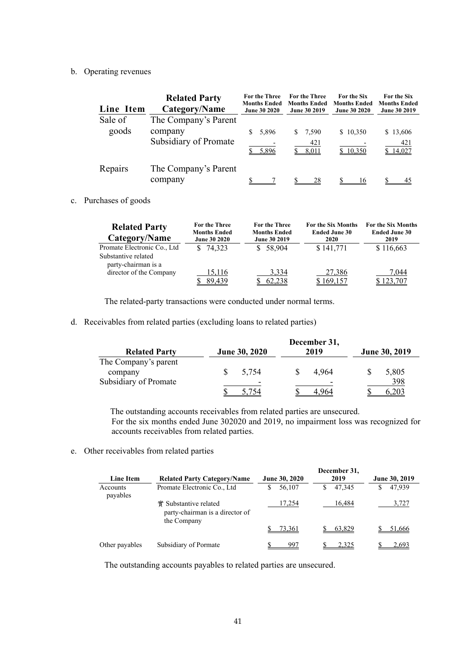#### b. Operating revenues

| Line Item | <b>Related Party</b><br>Category/Name | <b>For the Three</b><br><b>Months Ended</b><br><b>June 30 2020</b> | <b>For the Three</b><br><b>Months Ended</b><br><b>June 30 2019</b> | <b>For the Six</b><br><b>Months Ended</b><br><b>June 30 2020</b> | <b>For the Six</b><br><b>Months Ended</b><br><b>June 30 2019</b> |
|-----------|---------------------------------------|--------------------------------------------------------------------|--------------------------------------------------------------------|------------------------------------------------------------------|------------------------------------------------------------------|
| Sale of   | The Company's Parent                  |                                                                    |                                                                    |                                                                  |                                                                  |
| goods     | company                               | \$5,896                                                            | 7,590<br>S.                                                        | \$10,350                                                         | \$13,606                                                         |
|           | Subsidiary of Promate                 | 5,896                                                              | 421<br>8,011                                                       | \$10,350                                                         | 421<br>14,027                                                    |
| Repairs   | The Company's Parent                  |                                                                    |                                                                    |                                                                  |                                                                  |
|           | company                               |                                                                    | 28                                                                 | 16                                                               | 45                                                               |

#### c. Purchases of goods

| <b>Related Party</b><br>Category/Name      | For the Three<br><b>Months Ended</b><br><b>June 30 2020</b> | For the Three<br><b>Months Ended</b><br><b>June 30 2019</b> | For the Six Months<br><b>Ended June 30</b><br>2020 | For the Six Months<br><b>Ended June 30</b><br>2019 |
|--------------------------------------------|-------------------------------------------------------------|-------------------------------------------------------------|----------------------------------------------------|----------------------------------------------------|
| Promate Electronic Co., Ltd                | \$74.323                                                    | \$58.904                                                    | \$141,771                                          | \$116,663                                          |
| Substantive related<br>party-chairman is a |                                                             |                                                             |                                                    |                                                    |
| director of the Company                    | 15,116                                                      | 3,334                                                       | 27,386                                             | 7,044                                              |
|                                            | 89.439                                                      | 62.238                                                      | 169.157                                            | 123,707                                            |

The related-party transactions were conducted under normal terms.

d. Receivables from related parties (excluding loans to related parties)

| <b>Related Party</b>            | June 30, 2020 | December 31,<br>2019 | <b>June 30, 2019</b> |
|---------------------------------|---------------|----------------------|----------------------|
| The Company's parent<br>company | 5.754         | 4.964                | 5,805                |
| Subsidiary of Promate           |               | 4.964                | 398                  |

 The outstanding accounts receivables from related parties are unsecured. For the six months ended June 302020 and 2019, no impairment loss was recognized for accounts receivables from related parties.

e. Other receivables from related parties

| Line Item            | <b>Related Party Category/Name</b>                                      | June 30, 2020 | December 31,<br>2019 | June 30, 2019 |
|----------------------|-------------------------------------------------------------------------|---------------|----------------------|---------------|
| Accounts<br>payables | Promate Electronic Co., Ltd                                             | 56,107<br>S   | 47.345<br>\$.        | 47,939<br>S   |
|                      | 實 Substantive related<br>party-chairman is a director of<br>the Company | 17,254        | 16.484               | 3,727         |
|                      |                                                                         | 73,361        | 63.829               | 51,666        |
| Other payables       | Subsidiary of Pormate                                                   | 997           | 2.325                | 2.69.         |

The outstanding accounts payables to related parties are unsecured.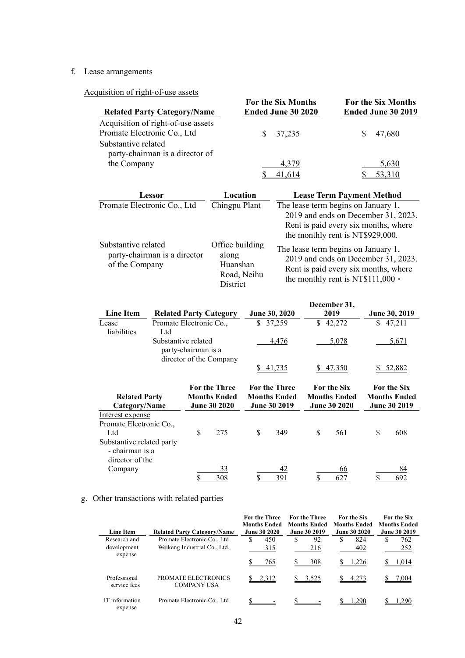### f. Lease arrangements

Acquisition of right-of-use assets

| $\mu$ and $\mu$ of Tight-O1-use assets<br><b>Related Party Category/Name</b>             | <b>For the Six Months</b><br>Ended June 30 2020 | <b>For the Six Months</b><br>Ended June 30 2019 |  |
|------------------------------------------------------------------------------------------|-------------------------------------------------|-------------------------------------------------|--|
| Acquisition of right-of-use assets<br>Promate Electronic Co., Ltd<br>Substantive related | 37,235<br>S.                                    | 47.680                                          |  |
| party-chairman is a director of<br>the Company                                           | 4,379                                           | 5,630                                           |  |

| Lessor                                                                | Location                                                        | <b>Lease Term Payment Method</b>                                                                                                                              |
|-----------------------------------------------------------------------|-----------------------------------------------------------------|---------------------------------------------------------------------------------------------------------------------------------------------------------------|
| Promate Electronic Co., Ltd                                           | Chingpu Plant                                                   | The lease term begins on January 1,<br>2019 and ends on December 31, 2023.<br>Rent is paid every six months, where<br>the monthly rent is NT\$929,000.        |
| Substantive related<br>party-chairman is a director<br>of the Company | Office building<br>along<br>Huanshan<br>Road, Neihu<br>District | The lease term begins on January 1,<br>2019 and ends on December 31, 2023.<br>Rent is paid every six months, where<br>the monthly rent is NT\$111,000 $\circ$ |

|                           |                         |                     |                               |                      | December 31,        |                      |
|---------------------------|-------------------------|---------------------|-------------------------------|----------------------|---------------------|----------------------|
| <b>Line Item</b>          |                         |                     | <b>Related Party Category</b> | June 30, 2020        | 2019                | <b>June 30, 2019</b> |
| Lease                     | Promate Electronic Co., |                     |                               | \$<br>37,259         | \$<br>42,272        | \$<br>47,211         |
| liabilities               | Ltd                     |                     |                               |                      |                     |                      |
|                           | Substantive related     |                     |                               | 4,476                | 5,078               | 5,671                |
|                           |                         | party-chairman is a |                               |                      |                     |                      |
|                           |                         |                     | director of the Company       |                      |                     |                      |
|                           |                         |                     |                               | 41,735               | <u>47,350</u>       | <u>\$52,882</u>      |
|                           |                         |                     |                               |                      |                     |                      |
|                           |                         |                     | <b>For the Three</b>          | <b>For the Three</b> | <b>For the Six</b>  | <b>For the Six</b>   |
| <b>Related Party</b>      |                         |                     | <b>Months Ended</b>           | <b>Months Ended</b>  | <b>Months Ended</b> | <b>Months Ended</b>  |
| Category/Name             |                         |                     | <b>June 30 2020</b>           | <b>June 30 2019</b>  | <b>June 30 2020</b> | <b>June 30 2019</b>  |
|                           |                         |                     |                               |                      |                     |                      |
| Interest expense          |                         |                     |                               |                      |                     |                      |
| Promate Electronic Co.,   |                         |                     |                               |                      |                     |                      |
| Ltd                       |                         | \$                  | 275                           | \$<br>349            | \$<br>561           | \$<br>608            |
| Substantive related party |                         |                     |                               |                      |                     |                      |
| - chairman is a           |                         |                     |                               |                      |                     |                      |
| director of the           |                         |                     |                               |                      |                     |                      |
| Company                   |                         |                     | 33                            | 42                   | 66                  | 84                   |
|                           |                         |                     | 308                           | 391                  | 627                 | 692                  |

### g. Other transactions with related parties

| <b>Line Item</b>             | <b>Related Party Category/Name</b>        | <b>For the Three</b><br><b>Months Ended</b><br><b>June 30 2020</b> | <b>For the Three</b><br><b>Months Ended</b><br><b>June 30 2019</b> | <b>For the Six</b><br><b>Months Ended</b><br><b>June 30 2020</b> | <b>For the Six</b><br><b>Months Ended</b><br><b>June 30 2019</b> |
|------------------------------|-------------------------------------------|--------------------------------------------------------------------|--------------------------------------------------------------------|------------------------------------------------------------------|------------------------------------------------------------------|
| Research and                 | Promate Electronic Co., Ltd               | 450<br>S                                                           | S<br>92                                                            | 824<br>S                                                         | 762                                                              |
| development<br>expense       | Weikeng Industrial Co., Ltd.              | 315                                                                | 216                                                                | 402                                                              | 252                                                              |
|                              |                                           | 765                                                                | 308                                                                | 1.226                                                            | 1.014                                                            |
| Professional<br>service fees | PROMATE ELECTRONICS<br><b>COMPANY USA</b> | 2,312                                                              | 3,525                                                              | $\frac{1}{2}$ 4,273                                              | 7,004                                                            |
| IT information<br>expense    | Promate Electronic Co., Ltd               |                                                                    |                                                                    | 1.290                                                            | -290                                                             |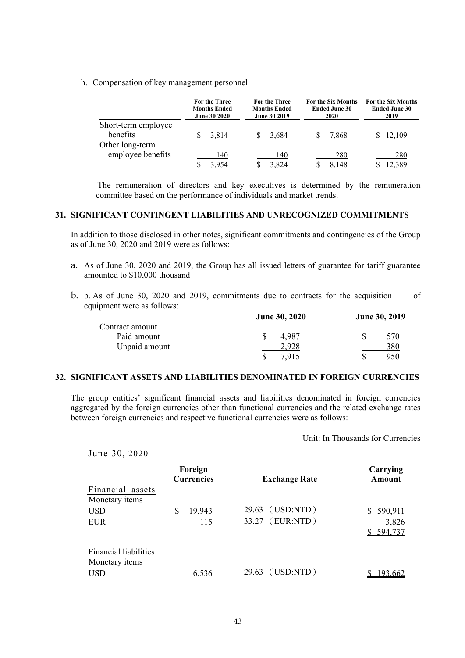h. Compensation of key management personnel

|                                                    | For the Three<br><b>Months Ended</b><br><b>June 30 2020</b> | For the Three<br><b>Months Ended</b><br><b>June 30 2019</b> | For the Six Months<br><b>Ended June 30</b><br>2020 | <b>For the Six Months</b><br><b>Ended June 30</b><br>2019 |
|----------------------------------------------------|-------------------------------------------------------------|-------------------------------------------------------------|----------------------------------------------------|-----------------------------------------------------------|
| Short-term employee<br>benefits<br>Other long-term | 3.814                                                       | 3.684                                                       | 7.868                                              | 12,109                                                    |
| employee benefits                                  | 140<br>4.954                                                | 140<br>3.824                                                | 280<br>8.148                                       | 280                                                       |

 The remuneration of directors and key executives is determined by the remuneration committee based on the performance of individuals and market trends.

#### **31. SIGNIFICANT CONTINGENT LIABILITIES AND UNRECOGNIZED COMMITMENTS**

In addition to those disclosed in other notes, significant commitments and contingencies of the Group as of June 30, 2020 and 2019 were as follows:

- a. As of June 30, 2020 and 2019, the Group has all issued letters of guarantee for tariff guarantee amounted to \$10,000 thousand
- b. b. As of June 30, 2020 and 2019, commitments due to contracts for the acquisition of equipment were as follows:

|                 | <b>June 30, 2020</b> | June 30, 2019 |  |  |
|-----------------|----------------------|---------------|--|--|
| Contract amount |                      |               |  |  |
| Paid amount     | 4.987                | 570           |  |  |
| Unpaid amount   |                      | 380           |  |  |
|                 |                      |               |  |  |

#### **32. SIGNIFICANT ASSETS AND LIABILITIES DENOMINATED IN FOREIGN CURRENCIES**

The group entities' significant financial assets and liabilities denominated in foreign currencies aggregated by the foreign currencies other than functional currencies and the related exchange rates between foreign currencies and respective functional currencies were as follows:

Unit: In Thousands for Currencies

|  |  |  |  | June 30, 2020 |
|--|--|--|--|---------------|
|--|--|--|--|---------------|

|                                                              | Foreign<br><b>Currencies</b> |                | <b>Exchange Rate</b>   | Carrying<br>Amount               |
|--------------------------------------------------------------|------------------------------|----------------|------------------------|----------------------------------|
| Financial assets<br>Monetary <i>items</i>                    |                              |                |                        |                                  |
| <b>USD</b><br><b>EUR</b>                                     | \$<br>19,943<br>115          | 29.63<br>33.27 | (USD:NTD)<br>(EUR:NTD) | 590,911<br>S<br>3,826<br>594,737 |
| <b>Financial liabilities</b><br>Monetary items<br><b>USD</b> | 6,536                        | 29.63          | (USD:NTD)              | 193,662                          |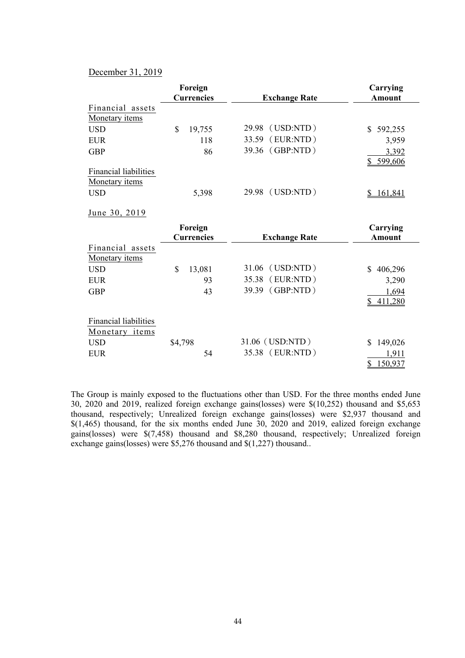#### December 31, 2019

|                              | Foreign<br><b>Currencies</b> | <b>Exchange Rate</b> | Carrying<br><b>Amount</b> |
|------------------------------|------------------------------|----------------------|---------------------------|
|                              |                              |                      |                           |
| Financial assets             |                              |                      |                           |
| Monetary items               |                              |                      |                           |
| <b>USD</b>                   | \$<br>19,755                 | 29.98 (USD:NTD)      | $\mathbb{S}$<br>592,255   |
| <b>EUR</b>                   | 118                          | 33.59 (EUR:NTD)      | 3,959                     |
| <b>GBP</b>                   | 86                           | 39.36 (GBP:NTD)      | 3,392                     |
|                              |                              |                      | 599,606                   |
| <b>Financial liabilities</b> |                              |                      |                           |
| Monetary <i>items</i>        |                              |                      |                           |
| <b>USD</b>                   | 5,398                        | 29.98 (USD:NTD)      | 161,841<br>\$             |
|                              |                              |                      |                           |
| June 30, 2019                |                              |                      |                           |
|                              | Foreign                      |                      | Carrying                  |
|                              |                              |                      |                           |
|                              | <b>Currencies</b>            | <b>Exchange Rate</b> | Amount                    |
| Financial assets             |                              |                      |                           |
| Monetary <i>items</i>        |                              |                      |                           |
| <b>USD</b>                   | \$                           | (USD:NTD)<br>31.06   | $\mathbb{S}$              |
|                              | 13,081                       |                      | 406,296                   |
| <b>EUR</b>                   | 93                           | (EUR:NTD)<br>35.38   | 3,290                     |
| <b>GBP</b>                   | 43                           | (GBP:NTD)<br>39.39   | 1,694                     |
|                              |                              |                      | 411,280<br>S.             |
|                              |                              |                      |                           |
| Financial liabilities        |                              |                      |                           |
| Monetary items               |                              |                      |                           |
| <b>USD</b>                   | \$4,798                      | 31.06 (USD:NTD)      | 149,026<br>S              |
| <b>EUR</b>                   | 54                           | 35.38 (EUR:NTD)      | 1,911<br>150,937<br>S     |

The Group is mainly exposed to the fluctuations other than USD. For the three months ended June 30, 2020 and 2019, realized foreign exchange gains(losses) were \$(10,252) thousand and \$5,653 thousand, respectively; Unrealized foreign exchange gains(losses) were \$2,937 thousand and \$(1,465) thousand, for the six months ended June 30, 2020 and 2019, ealized foreign exchange gains(losses) were \$(7,458) thousand and \$8,280 thousand, respectively; Unrealized foreign exchange gains(losses) were \$5,276 thousand and \$(1,227) thousand...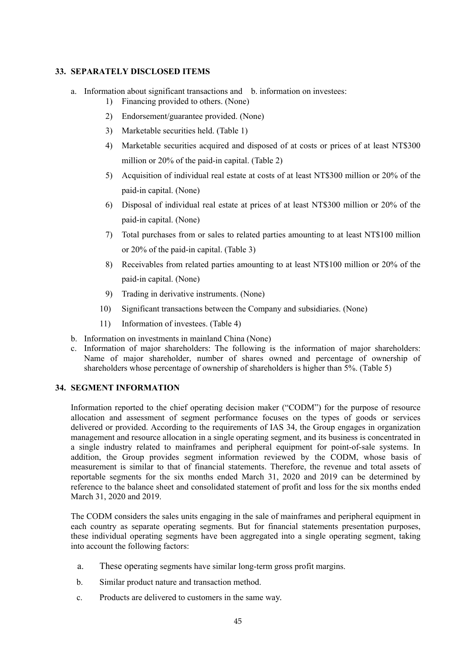#### **33. SEPARATELY DISCLOSED ITEMS**

- a. Information about significant transactions and b. information on investees:
	- 1) Financing provided to others. (None)
	- 2) Endorsement/guarantee provided. (None)
	- 3) Marketable securities held. (Table 1)
	- 4) Marketable securities acquired and disposed of at costs or prices of at least NT\$300 million or 20% of the paid-in capital. (Table 2)
	- 5) Acquisition of individual real estate at costs of at least NT\$300 million or 20% of the paid-in capital. (None)
	- 6) Disposal of individual real estate at prices of at least NT\$300 million or 20% of the paid-in capital. (None)
	- 7) Total purchases from or sales to related parties amounting to at least NT\$100 million or 20% of the paid-in capital. (Table 3)
	- 8) Receivables from related parties amounting to at least NT\$100 million or 20% of the paid-in capital. (None)
	- 9) Trading in derivative instruments. (None)
	- 10) Significant transactions between the Company and subsidiaries. (None)
	- 11) Information of investees. (Table 4)
- b. Information on investments in mainland China (None)
- c. Information of major shareholders: The following is the information of major shareholders: Name of major shareholder, number of shares owned and percentage of ownership of shareholders whose percentage of ownership of shareholders is higher than 5%. (Table 5)

#### **34. SEGMENT INFORMATION**

Information reported to the chief operating decision maker ("CODM") for the purpose of resource allocation and assessment of segment performance focuses on the types of goods or services delivered or provided. According to the requirements of IAS 34, the Group engages in organization management and resource allocation in a single operating segment, and its business is concentrated in a single industry related to mainframes and peripheral equipment for point-of-sale systems. In addition, the Group provides segment information reviewed by the CODM, whose basis of measurement is similar to that of financial statements. Therefore, the revenue and total assets of reportable segments for the six months ended March 31, 2020 and 2019 can be determined by reference to the balance sheet and consolidated statement of profit and loss for the six months ended March 31, 2020 and 2019.

The CODM considers the sales units engaging in the sale of mainframes and peripheral equipment in each country as separate operating segments. But for financial statements presentation purposes, these individual operating segments have been aggregated into a single operating segment, taking into account the following factors:

- a. These operating segments have similar long-term gross profit margins.
- b. Similar product nature and transaction method.
- c. Products are delivered to customers in the same way.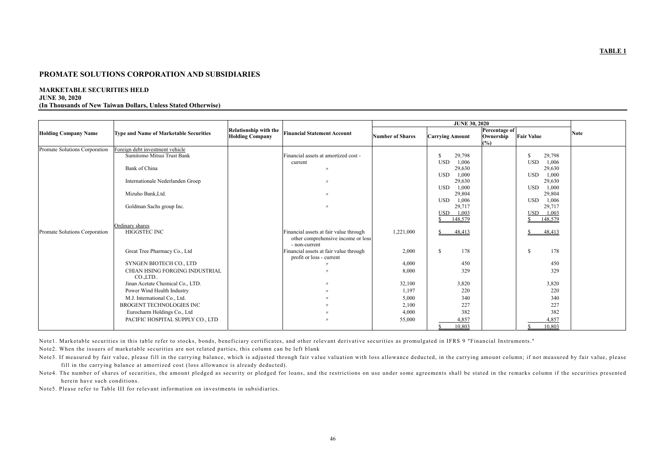### **PROMATE SOLUTIONS CORPORATION AND SUBSIDIARIES**

### **MARKETABLE SECURITIES HELD**

#### **JUNE 30, 2020**

**(In Thousands of New Taiwan Dollars, Unless Stated Otherwise)** 

|                               |                                               |                                                                                              |                         | <b>JUNE 30, 2020</b>          |                                                        |             |
|-------------------------------|-----------------------------------------------|----------------------------------------------------------------------------------------------|-------------------------|-------------------------------|--------------------------------------------------------|-------------|
| <b>Holding Company Name</b>   | <b>Type and Name of Marketable Securities</b> | <b>Relationship with the</b><br><b>Financial Statement Account</b><br><b>Holding Company</b> | <b>Number of Shares</b> | <b>Carrying Amount</b>        | Percentage of<br><b>Fair Value</b><br>Ownership<br>(%) | <b>Note</b> |
| Promate Solutions Corporation | Foreign debt investment vehicle               |                                                                                              |                         |                               |                                                        |             |
|                               | Sumitomo Mitsui Trust Bank                    | Financial assets at amortized cost -                                                         |                         | <sup>\$</sup><br>29,798       | \$.<br>29,798                                          |             |
|                               |                                               | current                                                                                      |                         | <b>USD</b><br>1,006           | 1,006<br><b>USD</b>                                    |             |
|                               | Bank of China                                 |                                                                                              |                         | 29,630                        | 29,630                                                 |             |
|                               |                                               |                                                                                              |                         | 1,000<br><b>USD</b>           | 1,000<br><b>USD</b>                                    |             |
|                               | Internationale Nederlanden Groep              |                                                                                              |                         | 29,630<br><b>USD</b><br>1,000 | 29,630<br>1,000<br><b>USD</b>                          |             |
|                               | Mizuho Bank, Ltd.                             |                                                                                              |                         | 29,804                        | 29,804                                                 |             |
|                               |                                               |                                                                                              |                         | <b>USD</b><br>1,006           | 1,006<br><b>USD</b>                                    |             |
|                               | Goldman Sachs group Inc.                      | $^{\prime\prime}$                                                                            |                         | 29,717                        | 29,717                                                 |             |
|                               |                                               |                                                                                              |                         | <b>USD</b><br>1,003           | 1,003<br><b>USD</b>                                    |             |
|                               |                                               |                                                                                              |                         | 148,579<br>$\mathbf{\hat{x}}$ | 148,579<br>\$.                                         |             |
|                               | Ordinary shares                               |                                                                                              |                         |                               |                                                        |             |
| Promate Solutions Corporation | HIGGSTEC INC                                  | Financial assets at fair value through                                                       | 1,221,000               | 48,413<br><sup>\$</sup>       | 48,413<br>\$                                           |             |
|                               |                                               | other comprehensive income or loss                                                           |                         |                               |                                                        |             |
|                               | Great Tree Pharmacy Co., Ltd                  | - non-current<br>Financial assets at fair value through                                      | 2,000                   | 178<br>$\mathbb{S}$           | 178<br>$\mathbb{S}$                                    |             |
|                               |                                               | profit or loss - current                                                                     |                         |                               |                                                        |             |
|                               | SYNGEN BIOTECH CO., LTD                       |                                                                                              | 4,000                   | 450                           | 450                                                    |             |
|                               | CHIAN HSING FORGING INDUSTRIAL                |                                                                                              | 8,000                   | 329                           | 329                                                    |             |
|                               | CO.,LTD                                       |                                                                                              |                         |                               |                                                        |             |
|                               | Jinan Acetate Chemical Co., LTD.              |                                                                                              | 32,100                  | 3,820                         | 3,820                                                  |             |
|                               | Power Wind Health Industry                    |                                                                                              | 1,197                   | 220                           | 220                                                    |             |
|                               | M.J. International Co., Ltd.                  |                                                                                              | 5,000                   | 340                           | 340                                                    |             |
|                               | BROGENT TECHNOLOGIES INC                      |                                                                                              | 2,100                   | 227                           | 227                                                    |             |
|                               | Eurocharm Holdings Co., Ltd                   |                                                                                              | 4,000                   | 382                           | 382                                                    |             |
|                               | PACIFIC HOSPITAL SUPPLY CO., LTD              |                                                                                              | 55,000                  | 4,857                         | 4,857                                                  |             |
|                               |                                               |                                                                                              |                         | 10,803                        | 10,803                                                 |             |

Note1. Marketable securities in this table refer to stocks, bonds, beneficiary certificates, and other relevant derivative securities as promulgated in IFRS 9 "Financial Instruments."

Note2. When the issuers of marketable securities are not related parties, this column can be left blank

Note3. If measured by fair value, please fill in the carrying balance, which is adjusted through fair value valuation with loss allowance deducted, in the carrying amount column; if not measured by fair value, please fill in the carrying balance at amortized cost (loss allowance is already deducted). Note4. The number of shares of securities, the amount pledged as security or pledged for loans, and the restrictions on use under some agreements shall be stated in the remarks column if the securities presented

herein have such conditions.

Note5. Please refer to Table III for relevant information on investments in subsidiaries.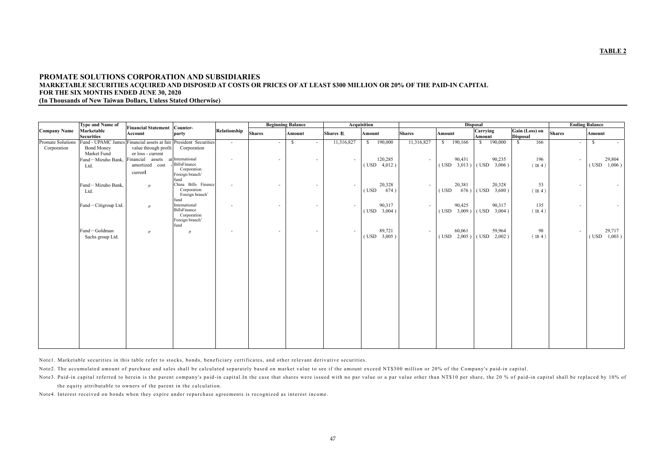### **PROMATE SOLUTIONS CORPORATION AND SUBSIDIARIES MARKETABLE SECURITIES ACQUIRED AND DISPOSED AT COSTS OR PRICES OF AT LEAST \$300 MILLION OR 20% OF THE PAID-IN CAPITAL FOR THE SIX MONTHS ENDED JUNE 30, 2020 (In Thousands of New Taiwan Dollars, Unless Stated Otherwise)**

|                                  | <b>Type and Name of</b>                  |                                                                       |                                                                                   |                |                          | <b>Beginning Balance</b>                  |                 | <b>Acquisition</b>          |               |                         | <b>Disposal</b>                                                   |                                   |                          | <b>Ending Balance</b>       |
|----------------------------------|------------------------------------------|-----------------------------------------------------------------------|-----------------------------------------------------------------------------------|----------------|--------------------------|-------------------------------------------|-----------------|-----------------------------|---------------|-------------------------|-------------------------------------------------------------------|-----------------------------------|--------------------------|-----------------------------|
| <b>Company Name</b>              | Marketable<br><b>Securities</b>          | <b>Financial Statement</b><br>Account                                 | Counter-<br>party                                                                 | Relationship   | <b>Shares</b>            | <b>Amount</b>                             | <b>Shares</b> 數 | <b>Amount</b>               | <b>Shares</b> | Amount                  | Carrying<br><b>Amount</b>                                         | Gain (Loss) on<br><b>Disposal</b> | <b>Shares</b>            | <b>Amount</b>               |
| Promate Solutions<br>Corporation | Fund - UPAMC James<br><b>Bond Money</b>  | Financial assets at fair President Securities<br>value through profit | Corporation                                                                       | $\sim$         | $\overline{\phantom{a}}$ | <sup>\$</sup><br>$\overline{\phantom{a}}$ | 11,316,827      | 190,000<br>$\mathbb{S}$     | 11,316,827    | 190,166<br><sup>S</sup> | 190,000<br>$\mathbb{S}$                                           | 166<br>$\mathbb{S}$               | $\sim$                   | -S<br>$\sim$                |
|                                  | Market Fund<br>Fund-Mizuho Bank,<br>Ltd. | or loss - current<br>Financial assets<br>amortized cost<br>current    | at International<br><b>BillsFinance</b><br>Corporation<br>Foreign branch'<br>fund | $\sim$         | $\overline{\phantom{a}}$ | $\overline{\phantom{a}}$                  | $\sim$          | 120,285<br>$($ USD $4,012)$ | $\sim$        | 90,431                  | 90,235<br>$($ USD $-3,013$ $)$ $($ USD $-3,006$ $)$               | 196<br>(註4)                       | $\sim$                   | 29,804<br>$($ USD $1,006$ ) |
|                                  | Fund-Mizuho Bank,<br>Ltd.                | $\prime\prime$                                                        | China Bills Finance<br>Corporation<br>Foreign branch'<br>fund                     |                | $\overline{\phantom{a}}$ | $\sim$                                    | $\sim$          | 20,328<br>674)<br>(USD)     | $\sim$        | 20,381<br>(USD)         | 20,328<br>$676$ ) (USD 3,680)                                     | 53<br>(註4)                        | $\overline{\phantom{a}}$ | $\sim$                      |
|                                  | Fund-Citigroup Ltd.                      | $\prime\prime$                                                        | International<br><b>BillsFinance</b><br>Corporation<br>Foreign branch'<br>fund    |                | $\overline{\phantom{a}}$ | $\overline{\phantom{a}}$                  | $\sim$          | 90,317<br>$($ USD $3,004$ ) | $\sim$        | 90,425                  | 90,317<br>$($ USD $-3,009$ $)($ USD $-3,004$ $)$                  | 135<br>(註4)                       | $\overline{\phantom{a}}$ | $\sim$                      |
|                                  | Fund-Goldman<br>Sachs group Ltd.         | $\prime\prime$                                                        | $\prime$                                                                          | $\overline{a}$ | $\overline{\phantom{a}}$ | $\overline{\phantom{a}}$                  | $\sim$          | 89,721<br>$($ USD $3,005)$  | $\sim$        | 60,061                  | 59,964<br>$( \text{USD} \quad 2,005)   ( \text{USD} \quad 2,002)$ | 98<br>(註4)                        | $\sim$                   | 29,717<br>$($ USD $1,003$ ) |
|                                  |                                          |                                                                       |                                                                                   |                |                          |                                           |                 |                             |               |                         |                                                                   |                                   |                          |                             |
|                                  |                                          |                                                                       |                                                                                   |                |                          |                                           |                 |                             |               |                         |                                                                   |                                   |                          |                             |

Note3. Paid-in capital referred to herein is the parent company's paid-in capital.In the case that shares were issued with no par value or a par value other than NT\$10 per share, the 20 % of paid-in capital shall be replac the equity attributable to owners of the parent in the calculation.

Note1. Marketable securities in this table refer to stocks, bonds, beneficiary certificates, and other relevant derivative securities.

Note2. The accumulated amount of purchase and sales shall be calculated separately based on market value to see if the amount exceed NT\$300 million or 20% of the Company's paid-in capital.

Note4. Interest received on bonds when they expire under repurchase agreements is recognized as interest income.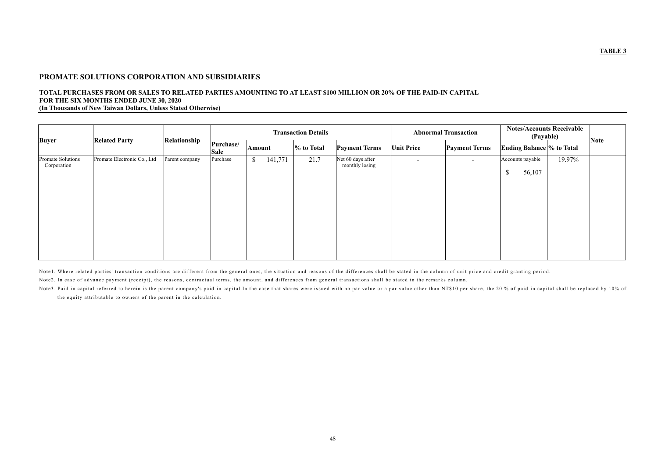### **PROMATE SOLUTIONS CORPORATION AND SUBSIDIARIES**

#### **TOTAL PURCHASES FROM OR SALES TO RELATED PARTIES AMOUNTING TO AT LEAST \$100 MILLION OR 20% OF THE PAID-IN CAPITAL FOR THE SIX MONTHS ENDED JUNE 30, 2020 (In Thousands of New Taiwan Dollars, Unless Stated Otherwise)**

|                                  |                             |                | <b>Transaction Details</b> |                                      |               | <b>Abnormal Transaction</b>         |                          | <b>Notes/Accounts Receivable</b><br>(Payable) |                                  | <b>Note</b> |  |
|----------------------------------|-----------------------------|----------------|----------------------------|--------------------------------------|---------------|-------------------------------------|--------------------------|-----------------------------------------------|----------------------------------|-------------|--|
| <b>Buyer</b>                     | <b>Related Party</b>        | Relationship   | Purchase/<br><b>Sale</b>   | <b>Amount</b>                        | $\%$ to Total | <b>Payment Terms</b>                | <b>Unit Price</b>        | <b>Payment Terms</b>                          | <b>Ending Balance % to Total</b> |             |  |
| Promate Solutions<br>Corporation | Promate Electronic Co., Ltd | Parent company | Purchase                   | 141,771<br>$\boldsymbol{\mathsf{S}}$ | 21.7          | Net 60 days after<br>monthly losing | $\overline{\phantom{a}}$ | $\overline{\phantom{0}}$                      | Accounts payable<br>56,107<br>D  | 19.97%      |  |

Note1. Where related parties' transaction conditions are different from the general ones, the situation and reasons of the differences shall be stated in the column of unit price and credit granting period. Note2. In case of advance payment (receipt), the reasons, contractual terms, the amount, and differences from general transactions shall be stated in the remarks column.

Note3. Paid-in capital referred to herein is the parent company's paid-in capital.In the case that shares were issued with no par value or a par value other than NT\$10 per share, the 20 % of paid-in capital shall be replac the equity attributable to owners of the parent in the calculation.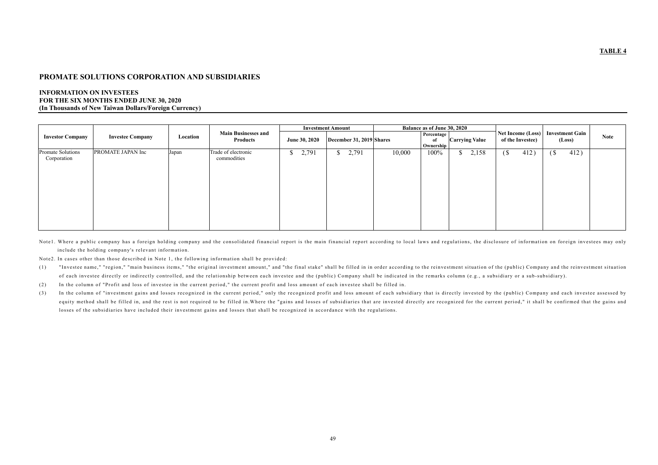### **PROMATE SOLUTIONS CORPORATION AND SUBSIDIARIES**

### **INFORMATION ON INVESTEES FOR THE SIX MONTHS ENDED JUNE 30, 2020 (In Thousands of New Taiwan Dollars/Foreign Currency)**

|                                  |                         |          |                                        |                       | <b>Investment Amount</b> |        | <b>Balance as of June 30, 2020</b>                     |                                              |                                  |             |
|----------------------------------|-------------------------|----------|----------------------------------------|-----------------------|--------------------------|--------|--------------------------------------------------------|----------------------------------------------|----------------------------------|-------------|
| <b>Investor Company</b>          | <b>Investee Company</b> | Location | <b>Main Businesses and</b><br>Products | <b>June 30, 2020</b>  | December 31, 2019 Shares |        | Percentage<br><b>Carrying Value</b><br>of<br>Ownership | <b>Net Income (Loss)</b><br>of the Investee) | <b>Investment Gain</b><br>(Loss) | <b>Note</b> |
| Promate Solutions<br>Corporation | PROMATE JAPAN Inc       | Japan    | Trade of electronic<br>commodities     | 2,791<br>$\mathbb{S}$ | 2,791<br>$\mathbb{S}$    | 10,000 | 100%<br>2,158<br>$\delta$ $\gamma$ <sup>1</sup>        | 412)<br>(S)                                  | 412)<br>$\sqrt{S}$               |             |

Notel. Where a public company has a foreign holding company and the consolidated financial report is the main financial report according to local laws and regulations, the disclosure of information on foreign investees may include the holding company's relevant information.

Note2. In cases other than those described in Note 1, the following information shall be provided:

(1) "Investee name," "region," "main business items," "the original investment amount," and "the final stake" shall be filled in in order according to the reinvestment situation of the (public) Company and the reinvestment of each investee directly or indirectly controlled, and the relationship between each investee and the (public) Company shall be indicated in the remarks column (e.g., a subsidiary or a sub-subsidiary).

(2) In the column of "Profit and loss of investee in the current period," the current profit and loss amount of each investee shall be filled in.

(3) In the column of "investment gains and losses recognized in the current period," only the recognized profit and loss amount of each subsidiary that is directly invested by the (public) Company and each investee assesse equity method shall be filled in, and the rest is not required to be filled in. Where the "gains and losses of subsidiaries that are invested directly are recognized for the current period," it shall be confirmed that the losses of the subsidiaries have included their investment gains and losses that shall be recognized in accordance with the regulations.